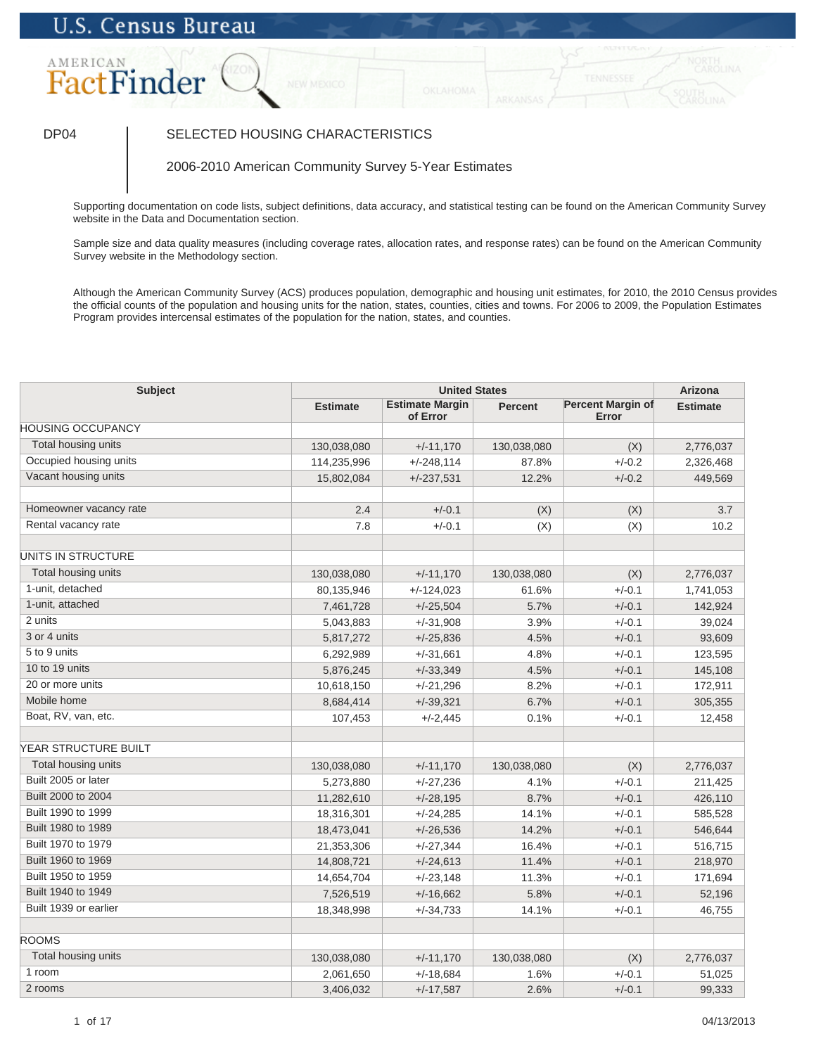# **U.S. Census Bureau**

## AMERICAN FactFinder

### DP04 SELECTED HOUSING CHARACTERISTICS

2006-2010 American Community Survey 5-Year Estimates

Supporting documentation on code lists, subject definitions, data accuracy, and statistical testing can be found on the American Community Survey website in the Data and Documentation section.

Sample size and data quality measures (including coverage rates, allocation rates, and response rates) can be found on the American Community Survey website in the Methodology section.

Although the American Community Survey (ACS) produces population, demographic and housing unit estimates, for 2010, the 2010 Census provides the official counts of the population and housing units for the nation, states, counties, cities and towns. For 2006 to 2009, the Population Estimates Program provides intercensal estimates of the population for the nation, states, and counties.

| <b>Subject</b>              | <b>United States</b> |                                    |                |                                   | Arizona         |
|-----------------------------|----------------------|------------------------------------|----------------|-----------------------------------|-----------------|
|                             | <b>Estimate</b>      | <b>Estimate Margin</b><br>of Error | <b>Percent</b> | <b>Percent Margin of</b><br>Error | <b>Estimate</b> |
| <b>HOUSING OCCUPANCY</b>    |                      |                                    |                |                                   |                 |
| Total housing units         | 130,038,080          | $+/-11,170$                        | 130,038,080    | (X)                               | 2,776,037       |
| Occupied housing units      | 114,235,996          | $+/-248,114$                       | 87.8%          | $+/-0.2$                          | 2,326,468       |
| Vacant housing units        | 15,802,084           | $+/-237,531$                       | 12.2%          | $+/-0.2$                          | 449,569         |
| Homeowner vacancy rate      | 2.4                  | $+/-0.1$                           | (X)            | (X)                               | 3.7             |
| Rental vacancy rate         | 7.8                  | $+/-0.1$                           | (X)            | (X)                               | 10.2            |
| UNITS IN STRUCTURE          |                      |                                    |                |                                   |                 |
| Total housing units         | 130,038,080          | $+/-11,170$                        | 130,038,080    | (X)                               | 2,776,037       |
| 1-unit, detached            | 80,135,946           | $+/-124,023$                       | 61.6%          | $+/-0.1$                          | 1,741,053       |
| 1-unit, attached            | 7,461,728            | $+/-25,504$                        | 5.7%           | $+/-0.1$                          | 142,924         |
| 2 units                     | 5,043,883            | $+/-31,908$                        | 3.9%           | $+/-0.1$                          | 39,024          |
| 3 or 4 units                | 5,817,272            | $+/-25,836$                        | 4.5%           | $+/-0.1$                          | 93,609          |
| 5 to 9 units                | 6,292,989            | $+/-31,661$                        | 4.8%           | $+/-0.1$                          | 123,595         |
| 10 to 19 units              | 5,876,245            | $+/-33,349$                        | 4.5%           | $+/-0.1$                          | 145,108         |
| 20 or more units            | 10,618,150           | $+/-21,296$                        | 8.2%           | $+/-0.1$                          | 172,911         |
| Mobile home                 | 8,684,414            | $+/-39,321$                        | 6.7%           | $+/-0.1$                          | 305,355         |
| Boat, RV, van, etc.         | 107,453              | $+/-2,445$                         | 0.1%           | $+/-0.1$                          | 12,458          |
| <b>YEAR STRUCTURE BUILT</b> |                      |                                    |                |                                   |                 |
| Total housing units         | 130,038,080          | $+/-11,170$                        | 130,038,080    | (X)                               | 2,776,037       |
| Built 2005 or later         | 5,273,880            | $+/-27,236$                        | 4.1%           | $+/-0.1$                          | 211,425         |
| Built 2000 to 2004          | 11,282,610           | $+/-28,195$                        | 8.7%           | $+/-0.1$                          | 426,110         |
| Built 1990 to 1999          | 18,316,301           | $+/-24,285$                        | 14.1%          | $+/-0.1$                          | 585,528         |
| Built 1980 to 1989          | 18,473,041           | $+/-26,536$                        | 14.2%          | $+/-0.1$                          | 546,644         |
| Built 1970 to 1979          | 21,353,306           | $+/-27,344$                        | 16.4%          | $+/-0.1$                          | 516,715         |
| Built 1960 to 1969          | 14,808,721           | $+/-24,613$                        | 11.4%          | $+/-0.1$                          | 218,970         |
| Built 1950 to 1959          | 14,654,704           | $+/-23,148$                        | 11.3%          | $+/-0.1$                          | 171,694         |
| Built 1940 to 1949          | 7,526,519            | $+/-16,662$                        | 5.8%           | $+/-0.1$                          | 52,196          |
| Built 1939 or earlier       | 18,348,998           | $+/-34,733$                        | 14.1%          | $+/-0.1$                          | 46,755          |
| <b>ROOMS</b>                |                      |                                    |                |                                   |                 |
| Total housing units         | 130,038,080          | $+/-11,170$                        | 130,038,080    | (X)                               | 2,776,037       |
| 1 room                      | 2,061,650            | $+/-18,684$                        | 1.6%           | $+/-0.1$                          | 51,025          |
| 2 rooms                     | 3,406,032            | $+/-17,587$                        | 2.6%           | $+/-0.1$                          | 99,333          |
|                             |                      |                                    |                |                                   |                 |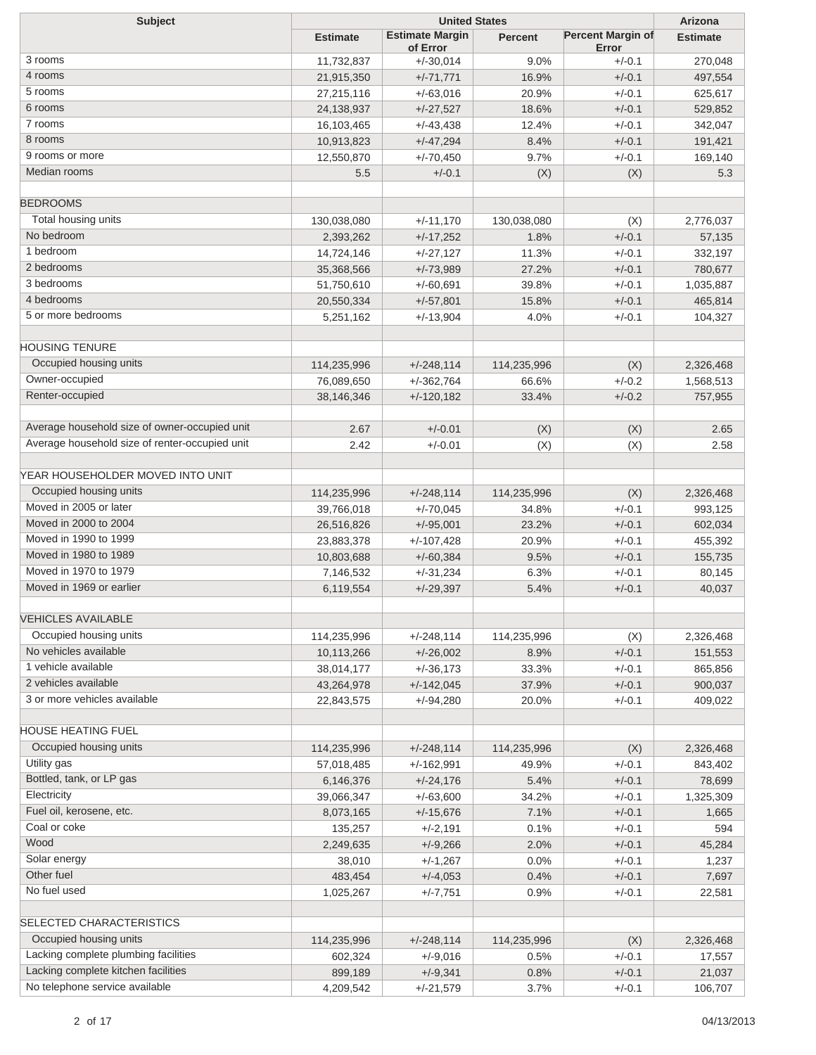| <b>Subject</b>                                 |                 | Arizona                            |                |                                   |                 |
|------------------------------------------------|-----------------|------------------------------------|----------------|-----------------------------------|-----------------|
|                                                | <b>Estimate</b> | <b>Estimate Margin</b><br>of Error | <b>Percent</b> | <b>Percent Margin of</b><br>Error | <b>Estimate</b> |
| 3 rooms                                        | 11,732,837      | $+/-30,014$                        | 9.0%           | $+/-0.1$                          | 270,048         |
| 4 rooms                                        | 21,915,350      | $+/-71,771$                        | 16.9%          | $+/-0.1$                          | 497,554         |
| 5 rooms                                        | 27,215,116      | $+/-63,016$                        | 20.9%          | $+/-0.1$                          | 625,617         |
| 6 rooms                                        | 24,138,937      | $+/-27,527$                        | 18.6%          | $+/-0.1$                          | 529,852         |
| 7 rooms                                        | 16,103,465      | $+/-43,438$                        | 12.4%          | $+/-0.1$                          | 342,047         |
| 8 rooms                                        | 10,913,823      | $+/-47,294$                        | 8.4%           | $+/-0.1$                          | 191,421         |
| 9 rooms or more                                | 12,550,870      | $+/-70,450$                        | 9.7%           | $+/-0.1$                          | 169,140         |
| Median rooms                                   | 5.5             | $+/-0.1$                           | (X)            | (X)                               | 5.3             |
| <b>BEDROOMS</b>                                |                 |                                    |                |                                   |                 |
| Total housing units                            | 130,038,080     | $+/-11,170$                        | 130,038,080    | (X)                               | 2,776,037       |
| No bedroom                                     | 2,393,262       | $+/-17,252$                        | 1.8%           | $+/-0.1$                          | 57,135          |
| 1 bedroom                                      | 14,724,146      | $+/-27,127$                        | 11.3%          | $+/-0.1$                          | 332,197         |
| 2 bedrooms                                     | 35,368,566      | $+/-73,989$                        | 27.2%          | $+/-0.1$                          | 780,677         |
| 3 bedrooms                                     | 51,750,610      | $+/-60,691$                        | 39.8%          | $+/-0.1$                          | 1,035,887       |
| 4 bedrooms                                     | 20,550,334      | $+/-57,801$                        | 15.8%          | $+/-0.1$                          | 465,814         |
| 5 or more bedrooms                             | 5,251,162       | $+/-13,904$                        | 4.0%           | $+/-0.1$                          | 104,327         |
| <b>HOUSING TENURE</b>                          |                 |                                    |                |                                   |                 |
| Occupied housing units                         | 114,235,996     | $+/-248,114$                       | 114,235,996    | (X)                               | 2,326,468       |
| Owner-occupied                                 | 76,089,650      | $+/-362,764$                       | 66.6%          | $+/-0.2$                          | 1,568,513       |
| Renter-occupied                                | 38,146,346      | $+/-120,182$                       | 33.4%          | $+/-0.2$                          | 757,955         |
|                                                |                 |                                    |                |                                   |                 |
| Average household size of owner-occupied unit  | 2.67            | $+/-0.01$                          | (X)            | (X)                               | 2.65            |
| Average household size of renter-occupied unit | 2.42            | $+/-0.01$                          | (X)            | (X)                               | 2.58            |
| YEAR HOUSEHOLDER MOVED INTO UNIT               |                 |                                    |                |                                   |                 |
| Occupied housing units                         | 114,235,996     | $+/-248,114$                       | 114,235,996    | (X)                               | 2,326,468       |
| Moved in 2005 or later                         | 39,766,018      | $+/-70,045$                        | 34.8%          | $+/-0.1$                          | 993,125         |
| Moved in 2000 to 2004                          | 26,516,826      | $+/-95,001$                        | 23.2%          | $+/-0.1$                          | 602,034         |
| Moved in 1990 to 1999                          | 23,883,378      | $+/-107,428$                       | 20.9%          | $+/-0.1$                          | 455,392         |
| Moved in 1980 to 1989                          | 10,803,688      | $+/-60,384$                        | 9.5%           | $+/-0.1$                          | 155,735         |
| Moved in 1970 to 1979                          | 7,146,532       | $+/-31,234$                        | 6.3%           | $+/-0.1$                          | 80,145          |
| Moved in 1969 or earlier                       | 6,119,554       | $+/-29,397$                        | 5.4%           | $+/-0.1$                          | 40,037          |
| <b>VEHICLES AVAILABLE</b>                      |                 |                                    |                |                                   |                 |
| Occupied housing units                         | 114,235,996     | $+/-248,114$                       | 114,235,996    | (X)                               | 2,326,468       |
| No vehicles available                          | 10,113,266      | $+/-26,002$                        | 8.9%           | $+/-0.1$                          | 151,553         |
| 1 vehicle available                            | 38,014,177      | $+/-36,173$                        | 33.3%          | $+/-0.1$                          | 865,856         |
| 2 vehicles available                           | 43,264,978      | $+/-142,045$                       | 37.9%          | $+/-0.1$                          | 900,037         |
| 3 or more vehicles available                   | 22,843,575      | $+/-94,280$                        | 20.0%          | $+/-0.1$                          | 409,022         |
|                                                |                 |                                    |                |                                   |                 |
| HOUSE HEATING FUEL                             |                 |                                    |                |                                   |                 |
| Occupied housing units                         | 114,235,996     | $+/-248,114$                       | 114,235,996    | (X)                               | 2,326,468       |
| Utility gas                                    | 57,018,485      | $+/-162,991$                       | 49.9%          | $+/-0.1$                          | 843,402         |
| Bottled, tank, or LP gas                       | 6,146,376       | $+/-24,176$                        | 5.4%           | $+/-0.1$                          | 78,699          |
| Electricity                                    | 39,066,347      | $+/-63,600$                        | 34.2%          | $+/-0.1$                          | 1,325,309       |
| Fuel oil, kerosene, etc.                       | 8,073,165       | $+/-15,676$                        | 7.1%           | $+/-0.1$                          | 1,665           |
| Coal or coke                                   | 135,257         | $+/-2,191$                         | 0.1%           | $+/-0.1$                          | 594             |
| Wood                                           | 2,249,635       | $+/-9,266$                         | 2.0%           | $+/-0.1$                          | 45,284          |
| Solar energy                                   | 38,010          | $+/-1,267$                         | 0.0%           | $+/-0.1$                          | 1,237           |
| Other fuel                                     | 483,454         | $+/-4,053$                         | 0.4%           | $+/-0.1$                          | 7,697           |
| No fuel used                                   | 1,025,267       | $+/-7,751$                         | 0.9%           | $+/-0.1$                          | 22,581          |
| SELECTED CHARACTERISTICS                       |                 |                                    |                |                                   |                 |
| Occupied housing units                         | 114,235,996     | $+/-248,114$                       | 114,235,996    | (X)                               | 2,326,468       |
| Lacking complete plumbing facilities           | 602,324         | $+/-9,016$                         | 0.5%           | $+/-0.1$                          | 17,557          |
| Lacking complete kitchen facilities            | 899,189         | $+/-9,341$                         | 0.8%           | $+/-0.1$                          | 21,037          |
| No telephone service available                 | 4,209,542       | $+/-21,579$                        | 3.7%           | $+/-0.1$                          | 106,707         |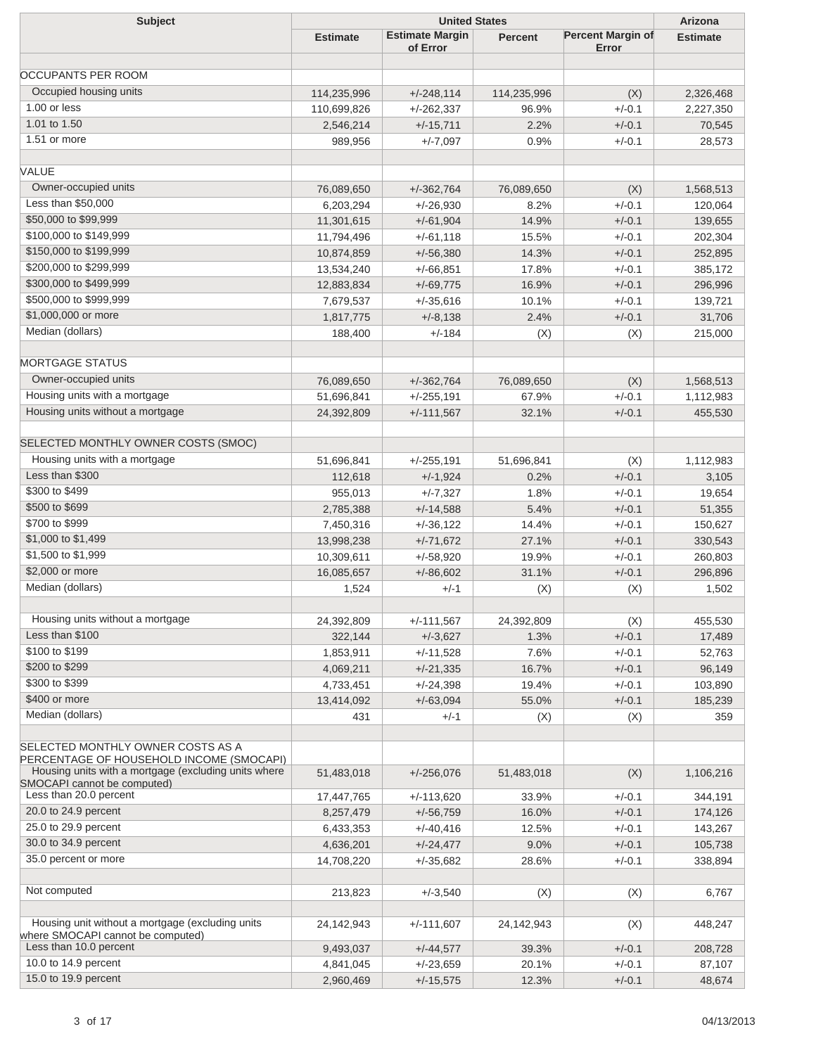| <b>Subject</b>                                                                                   | <b>United States</b> |                                    |                |                                   | Arizona         |
|--------------------------------------------------------------------------------------------------|----------------------|------------------------------------|----------------|-----------------------------------|-----------------|
|                                                                                                  | <b>Estimate</b>      | <b>Estimate Margin</b><br>of Error | <b>Percent</b> | <b>Percent Margin of</b><br>Error | <b>Estimate</b> |
| <b>OCCUPANTS PER ROOM</b>                                                                        |                      |                                    |                |                                   |                 |
| Occupied housing units                                                                           |                      |                                    |                |                                   |                 |
| 1.00 or less                                                                                     | 114,235,996          | $+/-248,114$                       | 114,235,996    | (X)                               | 2,326,468       |
| 1.01 to 1.50                                                                                     | 110,699,826          | $+/-262,337$                       | 96.9%          | $+/-0.1$                          | 2,227,350       |
| 1.51 or more                                                                                     | 2,546,214            | $+/-15,711$                        | 2.2%           | $+/-0.1$                          | 70,545          |
|                                                                                                  | 989,956              | $+/-7,097$                         | 0.9%           | $+/-0.1$                          | 28,573          |
| VALUE                                                                                            |                      |                                    |                |                                   |                 |
| Owner-occupied units                                                                             | 76,089,650           | $+/-362,764$                       | 76,089,650     | (X)                               | 1,568,513       |
| Less than \$50,000                                                                               | 6,203,294            | $+/-26,930$                        | 8.2%           | $+/-0.1$                          | 120,064         |
| \$50,000 to \$99,999                                                                             | 11,301,615           | $+/-61,904$                        | 14.9%          | $+/-0.1$                          | 139,655         |
| \$100,000 to \$149,999                                                                           | 11,794,496           | $+/-61,118$                        | 15.5%          | $+/-0.1$                          | 202,304         |
| \$150,000 to \$199,999                                                                           | 10,874,859           | $+/-56,380$                        | 14.3%          | $+/-0.1$                          | 252,895         |
| \$200,000 to \$299,999                                                                           | 13,534,240           | $+/-66,851$                        | 17.8%          | $+/-0.1$                          | 385,172         |
| \$300,000 to \$499,999                                                                           | 12,883,834           | $+/-69,775$                        | 16.9%          | $+/-0.1$                          | 296,996         |
| \$500,000 to \$999,999                                                                           | 7,679,537            | $+/-35,616$                        | 10.1%          | $+/-0.1$                          | 139,721         |
| \$1,000,000 or more                                                                              | 1,817,775            | $+/-8,138$                         | 2.4%           | $+/-0.1$                          | 31,706          |
| Median (dollars)                                                                                 | 188,400              | $+/-184$                           | (X)            | (X)                               | 215,000         |
| <b>MORTGAGE STATUS</b>                                                                           |                      |                                    |                |                                   |                 |
| Owner-occupied units                                                                             | 76,089,650           | $+/-362,764$                       | 76,089,650     | (X)                               | 1,568,513       |
| Housing units with a mortgage                                                                    | 51,696,841           | $+/-255,191$                       | 67.9%          | $+/-0.1$                          | 1,112,983       |
| Housing units without a mortgage                                                                 |                      |                                    |                | $+/-0.1$                          |                 |
|                                                                                                  | 24,392,809           | $+/-111,567$                       | 32.1%          |                                   | 455,530         |
| SELECTED MONTHLY OWNER COSTS (SMOC)                                                              |                      |                                    |                |                                   |                 |
| Housing units with a mortgage                                                                    | 51,696,841           | $+/-255,191$                       | 51,696,841     | (X)                               | 1,112,983       |
| Less than \$300                                                                                  | 112,618              | $+/-1,924$                         | 0.2%           | $+/-0.1$                          | 3,105           |
| \$300 to \$499                                                                                   | 955,013              | $+/-7,327$                         | 1.8%           | $+/-0.1$                          | 19,654          |
| \$500 to \$699                                                                                   | 2,785,388            | $+/-14,588$                        | 5.4%           | $+/-0.1$                          | 51,355          |
| \$700 to \$999                                                                                   | 7,450,316            | $+/-36,122$                        | 14.4%          | $+/-0.1$                          | 150,627         |
| \$1,000 to \$1,499                                                                               | 13,998,238           | $+/-71,672$                        | 27.1%          | $+/-0.1$                          | 330,543         |
| \$1,500 to \$1,999                                                                               | 10,309,611           | $+/-58,920$                        | 19.9%          | $+/-0.1$                          | 260,803         |
| \$2,000 or more                                                                                  | 16,085,657           | $+/-86,602$                        | 31.1%          | $+/-0.1$                          | 296,896         |
| Median (dollars)                                                                                 | 1,524                | $+/-1$                             | (X)            | (X)                               | 1,502           |
| Housing units without a mortgage                                                                 |                      |                                    |                |                                   |                 |
| Less than \$100                                                                                  | 24,392,809           | $+/-111,567$                       | 24,392,809     | (X)                               | 455,530         |
| \$100 to \$199                                                                                   | 322,144              | $+/-3,627$                         | 1.3%           | $+/-0.1$                          | 17,489          |
| \$200 to \$299                                                                                   | 1,853,911            | $+/-11,528$                        | 7.6%           | $+/-0.1$                          | 52,763          |
| \$300 to \$399                                                                                   | 4,069,211            | $+/-21,335$                        | 16.7%          | $+/-0.1$                          | 96,149          |
|                                                                                                  | 4,733,451            | $+/-24,398$                        | 19.4%          | $+/-0.1$                          | 103,890         |
| \$400 or more                                                                                    | 13,414,092           | $+/-63,094$                        | 55.0%          | $+/-0.1$                          | 185,239         |
| Median (dollars)                                                                                 | 431                  | $+/-1$                             | (X)            | (X)                               | 359             |
| SELECTED MONTHLY OWNER COSTS AS A                                                                |                      |                                    |                |                                   |                 |
| PERCENTAGE OF HOUSEHOLD INCOME (SMOCAPI)<br>Housing units with a mortgage (excluding units where |                      |                                    |                |                                   |                 |
| SMOCAPI cannot be computed)                                                                      | 51,483,018           | $+/-256,076$                       | 51,483,018     | (X)                               | 1,106,216       |
| Less than 20.0 percent                                                                           | 17,447,765           | $+/-113,620$                       | 33.9%          | $+/-0.1$                          | 344,191         |
| 20.0 to 24.9 percent                                                                             | 8,257,479            | $+/-56,759$                        | 16.0%          | $+/-0.1$                          | 174,126         |
| 25.0 to 29.9 percent                                                                             | 6,433,353            | $+/-40,416$                        | 12.5%          | $+/-0.1$                          | 143,267         |
| 30.0 to 34.9 percent                                                                             | 4,636,201            | $+/-24,477$                        | 9.0%           | $+/-0.1$                          | 105,738         |
| 35.0 percent or more                                                                             | 14,708,220           | $+/-35,682$                        | 28.6%          | $+/-0.1$                          | 338,894         |
|                                                                                                  |                      |                                    |                |                                   |                 |
| Not computed                                                                                     | 213,823              | $+/-3,540$                         | (X)            | (X)                               | 6,767           |
| Housing unit without a mortgage (excluding units                                                 | 24,142,943           | $+/-111,607$                       | 24,142,943     | (X)                               | 448,247         |
| where SMOCAPI cannot be computed)<br>Less than 10.0 percent                                      |                      |                                    |                |                                   |                 |
| 10.0 to 14.9 percent                                                                             | 9,493,037            | $+/-44,577$                        | 39.3%          | $+/-0.1$                          | 208,728         |
| 15.0 to 19.9 percent                                                                             | 4,841,045            | $+/-23,659$                        | 20.1%          | $+/-0.1$                          | 87,107          |
|                                                                                                  | 2,960,469            | $+/-15,575$                        | 12.3%          | $+/-0.1$                          | 48,674          |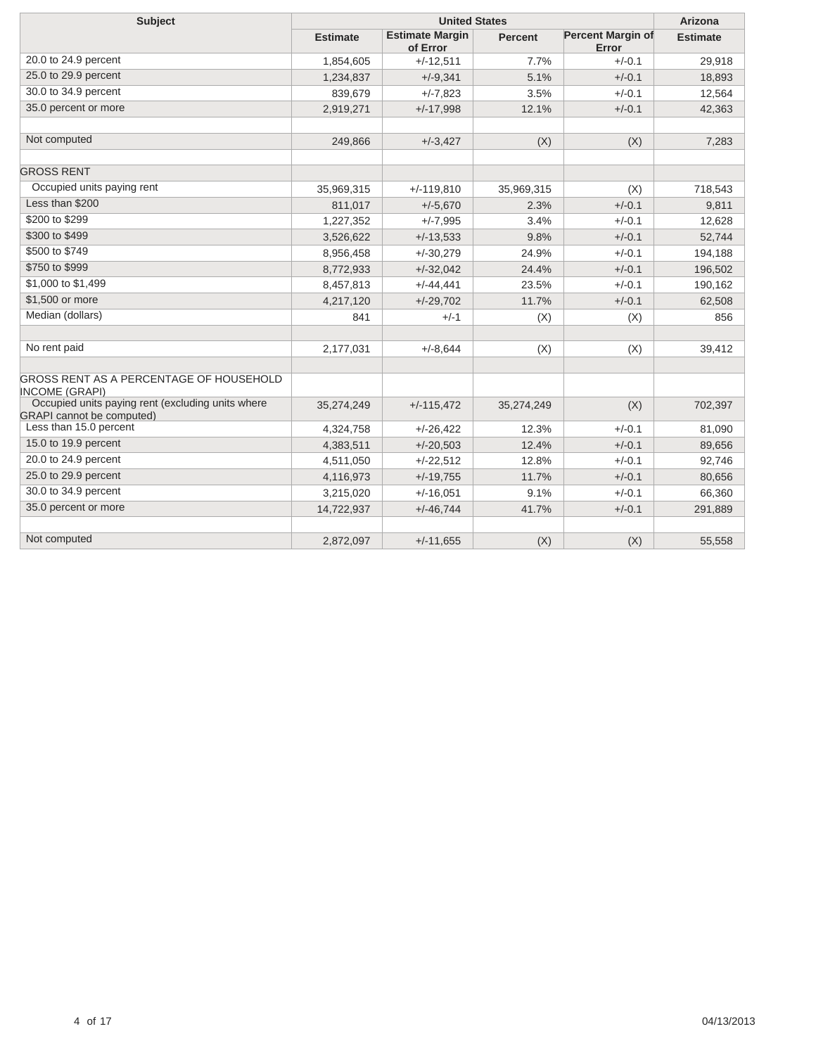| <b>Subject</b>                                                                        |                 | Arizona                            |                |                                   |                 |
|---------------------------------------------------------------------------------------|-----------------|------------------------------------|----------------|-----------------------------------|-----------------|
|                                                                                       | <b>Estimate</b> | <b>Estimate Margin</b><br>of Error | <b>Percent</b> | <b>Percent Margin of</b><br>Error | <b>Estimate</b> |
| 20.0 to 24.9 percent                                                                  | 1,854,605       | $+/-12,511$                        | 7.7%           | $+/-0.1$                          | 29,918          |
| 25.0 to 29.9 percent                                                                  | 1,234,837       | $+/-9,341$                         | 5.1%           | $+/-0.1$                          | 18,893          |
| 30.0 to 34.9 percent                                                                  | 839,679         | $+/-7,823$                         | 3.5%           | $+/-0.1$                          | 12,564          |
| 35.0 percent or more                                                                  | 2,919,271       | $+/-17,998$                        | 12.1%          | $+/-0.1$                          | 42,363          |
|                                                                                       |                 |                                    |                |                                   |                 |
| Not computed                                                                          | 249,866         | $+/-3,427$                         | (X)            | (X)                               | 7,283           |
| <b>GROSS RENT</b>                                                                     |                 |                                    |                |                                   |                 |
| Occupied units paying rent                                                            | 35,969,315      | $+/-119,810$                       | 35,969,315     | (X)                               | 718,543         |
| Less than \$200                                                                       | 811,017         | $+/-5,670$                         | 2.3%           | $+/-0.1$                          | 9,811           |
| \$200 to \$299                                                                        | 1,227,352       | $+/-7,995$                         | 3.4%           | $+/-0.1$                          | 12,628          |
| \$300 to \$499                                                                        | 3,526,622       | $+/-13,533$                        | 9.8%           | $+/-0.1$                          | 52,744          |
| \$500 to \$749                                                                        | 8,956,458       | $+/-30,279$                        | 24.9%          | $+/-0.1$                          | 194,188         |
| \$750 to \$999                                                                        | 8,772,933       | $+/-32,042$                        | 24.4%          | $+/-0.1$                          | 196,502         |
| \$1,000 to \$1,499                                                                    | 8,457,813       | $+/-44,441$                        | 23.5%          | $+/-0.1$                          | 190,162         |
| \$1,500 or more                                                                       | 4,217,120       | $+/-29,702$                        | 11.7%          | $+/-0.1$                          | 62,508          |
| Median (dollars)                                                                      | 841             | $+/-1$                             | (X)            | (X)                               | 856             |
|                                                                                       |                 |                                    |                |                                   |                 |
| No rent paid                                                                          | 2,177,031       | $+/-8.644$                         | (X)            | (X)                               | 39,412          |
| GROSS RENT AS A PERCENTAGE OF HOUSEHOLD<br><b>INCOME (GRAPI)</b>                      |                 |                                    |                |                                   |                 |
| Occupied units paying rent (excluding units where<br><b>GRAPI</b> cannot be computed) | 35,274,249      | $+/-115,472$                       | 35,274,249     | (X)                               | 702,397         |
| Less than 15.0 percent                                                                | 4,324,758       | $+/-26,422$                        | 12.3%          | $+/-0.1$                          | 81,090          |
| 15.0 to 19.9 percent                                                                  | 4,383,511       | $+/-20,503$                        | 12.4%          | $+/-0.1$                          | 89,656          |
| 20.0 to 24.9 percent                                                                  | 4,511,050       | $+/-22.512$                        | 12.8%          | $+/-0.1$                          | 92,746          |
| 25.0 to 29.9 percent                                                                  | 4,116,973       | $+/-19,755$                        | 11.7%          | $+/-0.1$                          | 80,656          |
| 30.0 to 34.9 percent                                                                  | 3,215,020       | $+/-16,051$                        | 9.1%           | $+/-0.1$                          | 66,360          |
| 35.0 percent or more                                                                  | 14,722,937      | $+/-46,744$                        | 41.7%          | $+/-0.1$                          | 291,889         |
|                                                                                       |                 |                                    |                |                                   |                 |
| Not computed                                                                          | 2,872,097       | $+/-11,655$                        | (X)            | (X)                               | 55,558          |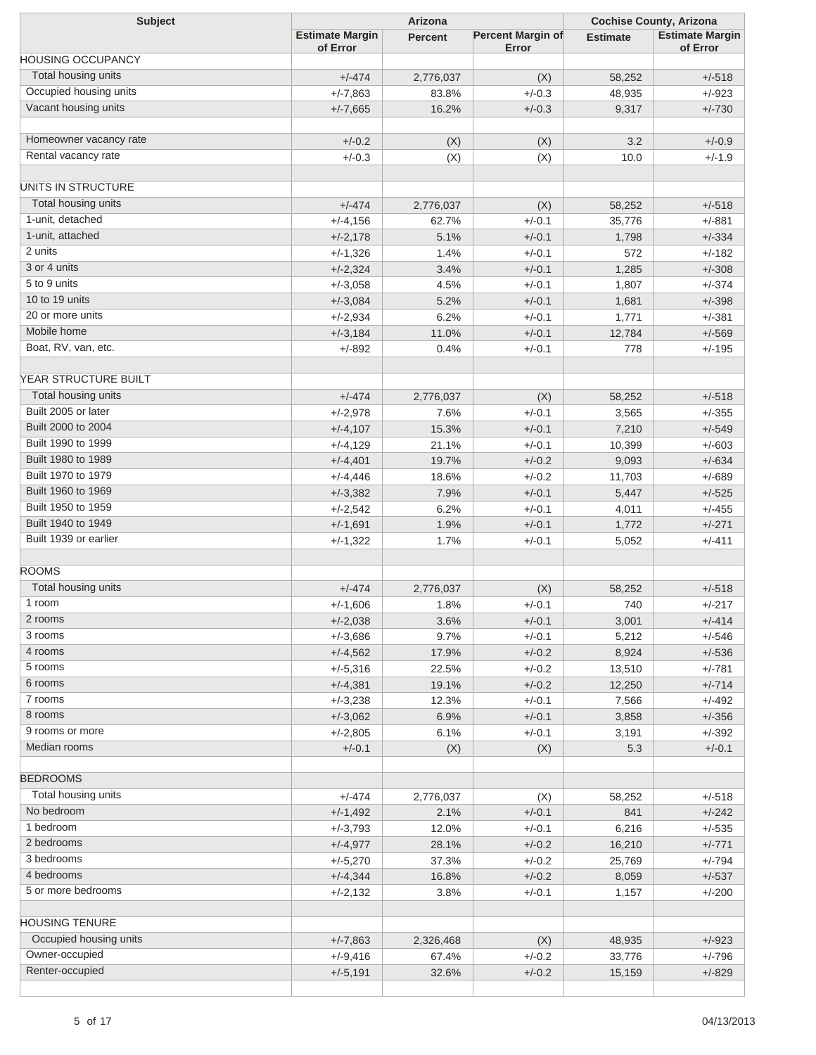| <b>Subject</b>           | Arizona                            |                |                                   | <b>Cochise County, Arizona</b> |                                    |  |
|--------------------------|------------------------------------|----------------|-----------------------------------|--------------------------------|------------------------------------|--|
|                          | <b>Estimate Margin</b><br>of Error | <b>Percent</b> | <b>Percent Margin of</b><br>Error | <b>Estimate</b>                | <b>Estimate Margin</b><br>of Error |  |
| <b>HOUSING OCCUPANCY</b> |                                    |                |                                   |                                |                                    |  |
| Total housing units      | $+/-474$                           | 2,776,037      | (X)                               | 58,252                         | $+/-518$                           |  |
| Occupied housing units   | $+/-7,863$                         | 83.8%          | $+/-0.3$                          | 48,935                         | $+/-923$                           |  |
| Vacant housing units     | $+/-7,665$                         | 16.2%          | $+/-0.3$                          | 9,317                          | $+/-730$                           |  |
|                          |                                    |                |                                   |                                |                                    |  |
| Homeowner vacancy rate   | $+/-0.2$                           | (X)            | (X)                               | 3.2                            | $+/-0.9$                           |  |
| Rental vacancy rate      | $+/-0.3$                           | (X)            | (X)                               | 10.0                           | $+/-1.9$                           |  |
| UNITS IN STRUCTURE       |                                    |                |                                   |                                |                                    |  |
| Total housing units      | $+/-474$                           | 2,776,037      | (X)                               | 58,252                         | $+/-518$                           |  |
| 1-unit, detached         | $+/-4,156$                         | 62.7%          | $+/-0.1$                          | 35,776                         | $+/-881$                           |  |
| 1-unit, attached         | $+/-2,178$                         | 5.1%           | $+/-0.1$                          | 1,798                          | $+/-334$                           |  |
| 2 units                  | $+/-1,326$                         | 1.4%           | $+/-0.1$                          | 572                            | $+/-182$                           |  |
| 3 or 4 units             | $+/-2,324$                         | 3.4%           | $+/-0.1$                          | 1,285                          | $+/-308$                           |  |
| 5 to 9 units             | $+/-3,058$                         | 4.5%           | $+/-0.1$                          | 1,807                          | $+/-374$                           |  |
| 10 to 19 units           | $+/-3,084$                         | 5.2%           | $+/-0.1$                          | 1,681                          | $+/-398$                           |  |
| 20 or more units         | $+/-2,934$                         | 6.2%           | $+/-0.1$                          | 1,771                          | $+/-381$                           |  |
| Mobile home              | $+/-3,184$                         | 11.0%          | $+/-0.1$                          | 12,784                         | $+/-569$                           |  |
| Boat, RV, van, etc.      | $+/-892$                           | 0.4%           | $+/-0.1$                          | 778                            | $+/-195$                           |  |
|                          |                                    |                |                                   |                                |                                    |  |
| YEAR STRUCTURE BUILT     |                                    |                |                                   |                                |                                    |  |
| Total housing units      | $+/-474$                           | 2,776,037      | (X)                               | 58,252                         | $+/-518$                           |  |
| Built 2005 or later      | $+/-2,978$                         | 7.6%           | $+/-0.1$                          | 3,565                          | $+/-355$                           |  |
| Built 2000 to 2004       | $+/-4,107$                         | 15.3%          | $+/-0.1$                          | 7,210                          | $+/-549$                           |  |
| Built 1990 to 1999       | $+/-4,129$                         | 21.1%          | $+/-0.1$                          | 10,399                         | $+/-603$                           |  |
| Built 1980 to 1989       | $+/-4,401$                         | 19.7%          | $+/-0.2$                          | 9,093                          | $+/-634$                           |  |
| Built 1970 to 1979       | $+/-4,446$                         | 18.6%          | $+/-0.2$                          | 11,703                         | $+/-689$                           |  |
| Built 1960 to 1969       | $+/-3,382$                         | 7.9%           | $+/-0.1$                          | 5,447                          | $+/-525$                           |  |
| Built 1950 to 1959       | $+/-2,542$                         | 6.2%           | $+/-0.1$                          | 4,011                          | $+/-455$                           |  |
| Built 1940 to 1949       | $+/-1,691$                         | 1.9%           | $+/-0.1$                          | 1,772                          | $+/-271$                           |  |
| Built 1939 or earlier    | $+/-1,322$                         | 1.7%           | $+/-0.1$                          | 5,052                          | $+/-411$                           |  |
|                          |                                    |                |                                   |                                |                                    |  |
| <b>ROOMS</b>             |                                    |                |                                   |                                |                                    |  |
| Total housing units      | $+/-474$                           | 2,776,037      | (X)                               | 58,252                         | $+/-518$                           |  |
| 1 room                   | $+/-1,606$                         | 1.8%           | $+/-0.1$                          | 740                            | $+/-217$                           |  |
| 2 rooms                  | $+/-2,038$                         | 3.6%           | $+/-0.1$                          | 3,001                          | $+/-414$                           |  |
| 3 rooms                  | $+/-3,686$                         | 9.7%           | $+/-0.1$                          | 5,212                          | $+/-546$                           |  |
| 4 rooms                  | $+/-4,562$                         | 17.9%          | $+/-0.2$                          | 8,924                          | $+/-536$                           |  |
| 5 rooms                  | $+/-5,316$                         | 22.5%          | $+/-0.2$                          | 13,510                         | $+/-781$                           |  |
| 6 rooms                  | $+/-4,381$                         | 19.1%          | $+/-0.2$                          | 12,250                         | $+/-714$                           |  |
| 7 rooms                  | $+/-3,238$                         | 12.3%          | $+/-0.1$                          | 7,566                          | $+/-492$                           |  |
| 8 rooms                  | $+/-3,062$                         | 6.9%           | $+/-0.1$                          | 3,858                          | $+/-356$                           |  |
| 9 rooms or more          | $+/-2,805$                         | 6.1%           | $+/-0.1$                          | 3,191                          | $+/-392$                           |  |
| Median rooms             | $+/-0.1$                           | (X)            | (X)                               | 5.3                            | $+/-0.1$                           |  |
| <b>BEDROOMS</b>          |                                    |                |                                   |                                |                                    |  |
| Total housing units      | $+/-474$                           | 2,776,037      | (X)                               | 58,252                         | $+/-518$                           |  |
| No bedroom               | $+/-1,492$                         | 2.1%           | $+/-0.1$                          | 841                            | $+/-242$                           |  |
| 1 bedroom                |                                    |                | $+/-0.1$                          | 6,216                          | $+/-535$                           |  |
| 2 bedrooms               | $+/-3,793$                         | 12.0%          |                                   |                                |                                    |  |
| 3 bedrooms               | $+/-4,977$                         | 28.1%          | $+/-0.2$                          | 16,210                         | $+/-771$                           |  |
| 4 bedrooms               | $+/-5,270$                         | 37.3%          | $+/-0.2$                          | 25,769                         | $+/-794$                           |  |
|                          | $+/-4,344$                         | 16.8%          | $+/-0.2$                          | 8,059                          | $+/-537$                           |  |
| 5 or more bedrooms       | $+/-2,132$                         | 3.8%           | $+/-0.1$                          | 1,157                          | $+/-200$                           |  |
| <b>HOUSING TENURE</b>    |                                    |                |                                   |                                |                                    |  |
| Occupied housing units   | $+/-7,863$                         | 2,326,468      | (X)                               | 48,935                         | $+/-923$                           |  |
| Owner-occupied           | $+/-9,416$                         | 67.4%          | $+/-0.2$                          | 33,776                         | $+/-796$                           |  |
| Renter-occupied          | $+/-5,191$                         | 32.6%          | $+/-0.2$                          | 15,159                         | $+/-829$                           |  |
|                          |                                    |                |                                   |                                |                                    |  |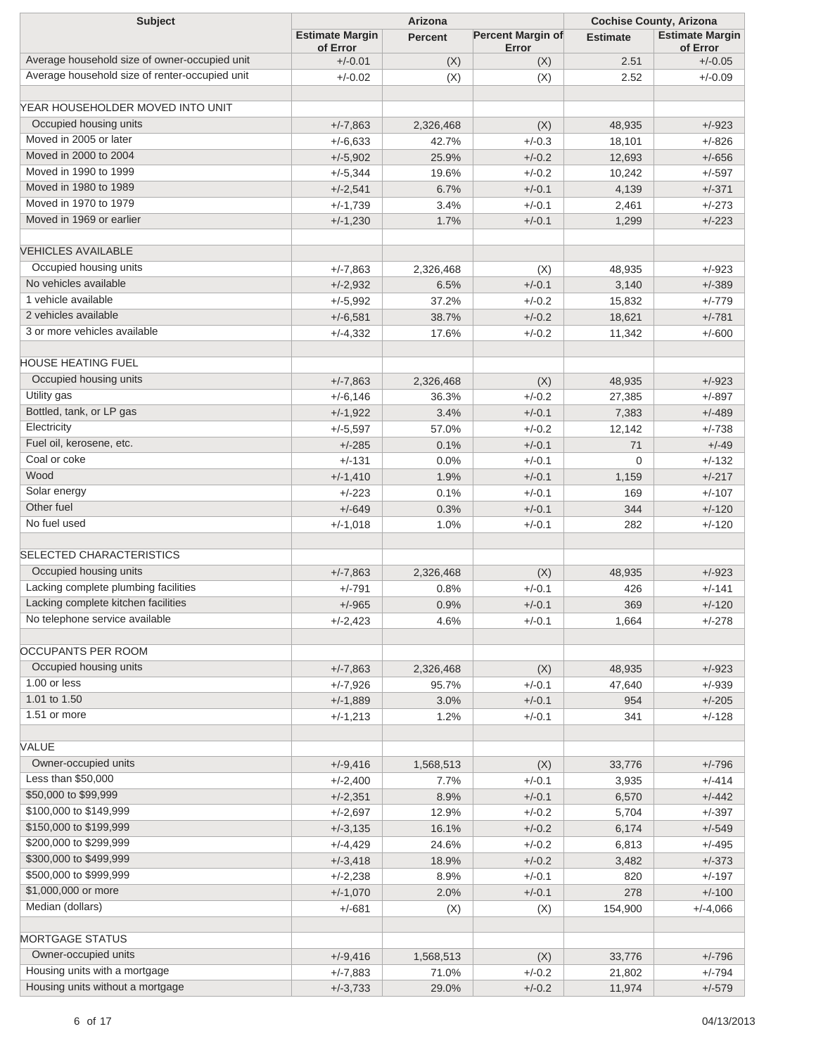| <b>Subject</b>                                 | Arizona                            |                |                                   | <b>Cochise County, Arizona</b> |                                    |  |
|------------------------------------------------|------------------------------------|----------------|-----------------------------------|--------------------------------|------------------------------------|--|
|                                                | <b>Estimate Margin</b><br>of Error | <b>Percent</b> | <b>Percent Margin of</b><br>Error | <b>Estimate</b>                | <b>Estimate Margin</b><br>of Error |  |
| Average household size of owner-occupied unit  | $+/-0.01$                          | (X)            | (X)                               | 2.51                           | $+/-0.05$                          |  |
| Average household size of renter-occupied unit | $+/-0.02$                          | (X)            | (X)                               | 2.52                           | $+/-0.09$                          |  |
| YEAR HOUSEHOLDER MOVED INTO UNIT               |                                    |                |                                   |                                |                                    |  |
| Occupied housing units                         | $+/-7,863$                         | 2,326,468      | (X)                               | 48,935                         | $+/-923$                           |  |
| Moved in 2005 or later                         | $+/-6,633$                         | 42.7%          | $+/-0.3$                          | 18,101                         | $+/-826$                           |  |
| Moved in 2000 to 2004                          | $+/-5,902$                         | 25.9%          | $+/-0.2$                          | 12,693                         | $+/-656$                           |  |
| Moved in 1990 to 1999                          | $+/-5,344$                         | 19.6%          | $+/-0.2$                          | 10,242                         | $+/-597$                           |  |
| Moved in 1980 to 1989                          | $+/-2,541$                         | 6.7%           | $+/-0.1$                          | 4,139                          | $+/-371$                           |  |
| Moved in 1970 to 1979                          | $+/-1,739$                         | 3.4%           | $+/-0.1$                          | 2,461                          | $+/-273$                           |  |
| Moved in 1969 or earlier                       |                                    |                | $+/-0.1$                          |                                | $+/-223$                           |  |
|                                                | $+/-1,230$                         | 1.7%           |                                   | 1,299                          |                                    |  |
| <b>VEHICLES AVAILABLE</b>                      |                                    |                |                                   |                                |                                    |  |
| Occupied housing units                         | $+/-7,863$                         | 2,326,468      | (X)                               | 48,935                         | $+/-923$                           |  |
| No vehicles available                          | $+/-2,932$                         | 6.5%           | $+/-0.1$                          | 3,140                          | $+/-389$                           |  |
| 1 vehicle available                            | $+/-5,992$                         | 37.2%          | $+/-0.2$                          | 15,832                         | $+/-779$                           |  |
| 2 vehicles available                           | $+/-6,581$                         | 38.7%          | $+/-0.2$                          | 18,621                         | $+/-781$                           |  |
| 3 or more vehicles available                   | $+/-4,332$                         | 17.6%          | $+/-0.2$                          | 11,342                         | $+/-600$                           |  |
| <b>HOUSE HEATING FUEL</b>                      |                                    |                |                                   |                                |                                    |  |
| Occupied housing units                         |                                    | 2,326,468      |                                   |                                |                                    |  |
| Utility gas                                    | $+/-7,863$<br>$+/-6,146$           | 36.3%          | (X)<br>$+/-0.2$                   | 48,935                         | $+/-923$                           |  |
| Bottled, tank, or LP gas                       |                                    |                |                                   | 27,385                         | $+/-897$                           |  |
| Electricity                                    | $+/-1,922$                         | 3.4%           | $+/-0.1$                          | 7,383                          | $+/-489$                           |  |
| Fuel oil, kerosene, etc.                       | $+/-5,597$                         | 57.0%          | $+/-0.2$                          | 12,142                         | $+/-738$                           |  |
| Coal or coke                                   | $+/-285$                           | 0.1%           | $+/-0.1$                          | 71                             | $+/-49$                            |  |
| Wood                                           | $+/-131$                           | 0.0%           | $+/-0.1$                          | $\mathbf 0$                    | $+/-132$                           |  |
| Solar energy                                   | $+/-1,410$                         | 1.9%           | $+/-0.1$                          | 1,159                          | $+/-217$                           |  |
| Other fuel                                     | $+/-223$                           | 0.1%           | $+/-0.1$                          | 169                            | $+/-107$                           |  |
| No fuel used                                   | $+/-649$                           | 0.3%           | $+/-0.1$                          | 344                            | $+/-120$                           |  |
|                                                | $+/-1,018$                         | 1.0%           | $+/-0.1$                          | 282                            | $+/-120$                           |  |
| <b>SELECTED CHARACTERISTICS</b>                |                                    |                |                                   |                                |                                    |  |
| Occupied housing units                         | $+/-7,863$                         | 2,326,468      | (X)                               | 48,935                         | $+/-923$                           |  |
| Lacking complete plumbing facilities           | $+/-791$                           | 0.8%           | $+/-0.1$                          | 426                            | $+/-141$                           |  |
| Lacking complete kitchen facilities            | $+/-965$                           | 0.9%           | $+/-0.1$                          | 369                            | $+/-120$                           |  |
| No telephone service available                 | $+/-2,423$                         | 4.6%           | $+/-0.1$                          | 1,664                          | $+/-278$                           |  |
|                                                |                                    |                |                                   |                                |                                    |  |
| OCCUPANTS PER ROOM                             |                                    |                |                                   |                                |                                    |  |
| Occupied housing units<br>1.00 or less         | $+/-7,863$                         | 2,326,468      | (X)                               | 48,935                         | $+/-923$                           |  |
| 1.01 to 1.50                                   | $+/-7,926$                         | 95.7%          | $+/-0.1$                          | 47,640                         | $+/-939$                           |  |
| 1.51 or more                                   | $+/-1,889$                         | 3.0%           | $+/-0.1$                          | 954                            | $+/-205$                           |  |
|                                                | $+/-1,213$                         | 1.2%           | $+/-0.1$                          | 341                            | $+/-128$                           |  |
| VALUE                                          |                                    |                |                                   |                                |                                    |  |
| Owner-occupied units                           | $+/-9,416$                         | 1,568,513      | (X)                               | 33,776                         | $+/-796$                           |  |
| Less than \$50,000                             | $+/-2,400$                         | 7.7%           | $+/-0.1$                          | 3,935                          | $+/-414$                           |  |
| \$50,000 to \$99,999                           | $+/-2,351$                         | 8.9%           | $+/-0.1$                          | 6,570                          | $+/-442$                           |  |
| \$100,000 to \$149,999                         | $+/-2,697$                         | 12.9%          | $+/-0.2$                          | 5,704                          | $+/-397$                           |  |
| \$150,000 to \$199,999                         | $+/-3,135$                         | 16.1%          | $+/-0.2$                          | 6,174                          | $+/-549$                           |  |
| \$200,000 to \$299,999                         | $+/-4,429$                         | 24.6%          | $+/-0.2$                          | 6,813                          | $+/-495$                           |  |
| \$300,000 to \$499,999                         | $+/-3,418$                         | 18.9%          | $+/-0.2$                          | 3,482                          | $+/-373$                           |  |
| \$500,000 to \$999,999                         | $+/-2,238$                         | 8.9%           | $+/-0.1$                          | 820                            | $+/-197$                           |  |
| \$1,000,000 or more                            | $+/-1,070$                         | 2.0%           | $+/-0.1$                          | 278                            | $+/-100$                           |  |
| Median (dollars)                               | $+/-681$                           | (X)            | (X)                               | 154,900                        | $+/-4,066$                         |  |
|                                                |                                    |                |                                   |                                |                                    |  |
| <b>MORTGAGE STATUS</b>                         |                                    |                |                                   |                                |                                    |  |
| Owner-occupied units                           | $+/-9,416$                         | 1,568,513      | (X)                               | 33,776                         | $+/-796$                           |  |
| Housing units with a mortgage                  | $+/-7,883$                         | 71.0%          | $+/-0.2$                          | 21,802                         | $+/-794$                           |  |
| Housing units without a mortgage               | $+/-3,733$                         | 29.0%          | $+/-0.2$                          | 11,974                         | $+/-579$                           |  |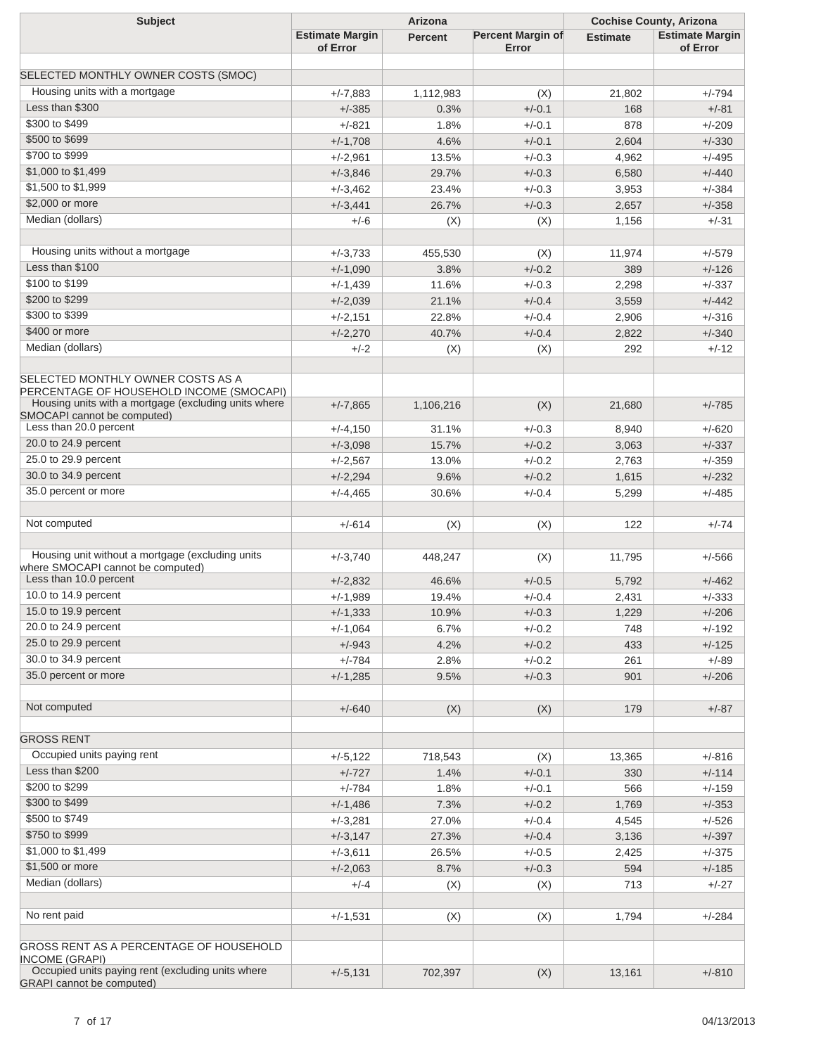| <b>Subject</b>                                                                                                                        | Arizona                            |                  |                                   | <b>Cochise County, Arizona</b> |                                    |  |
|---------------------------------------------------------------------------------------------------------------------------------------|------------------------------------|------------------|-----------------------------------|--------------------------------|------------------------------------|--|
|                                                                                                                                       | <b>Estimate Margin</b><br>of Error | <b>Percent</b>   | <b>Percent Margin of</b><br>Error | <b>Estimate</b>                | <b>Estimate Margin</b><br>of Error |  |
|                                                                                                                                       |                                    |                  |                                   |                                |                                    |  |
| SELECTED MONTHLY OWNER COSTS (SMOC)                                                                                                   |                                    |                  |                                   |                                |                                    |  |
| Housing units with a mortgage                                                                                                         | $+/-7,883$                         | 1,112,983        | (X)                               | 21,802                         | $+/-794$                           |  |
| Less than \$300                                                                                                                       | $+/-385$                           | 0.3%             | $+/-0.1$                          | 168                            | $+/-81$                            |  |
| \$300 to \$499                                                                                                                        | +/-821                             | 1.8%             | $+/-0.1$                          | 878                            | $+/-209$                           |  |
| \$500 to \$699                                                                                                                        | $+/-1,708$                         | 4.6%             | $+/-0.1$                          | 2,604                          | $+/-330$                           |  |
| \$700 to \$999                                                                                                                        | $+/-2,961$                         | 13.5%            | $+/-0.3$                          | 4,962                          | $+/-495$                           |  |
| \$1,000 to \$1,499                                                                                                                    | $+/-3,846$                         | 29.7%            | $+/-0.3$                          | 6,580                          | $+/-440$                           |  |
| \$1,500 to \$1,999                                                                                                                    | $+/-3,462$                         | 23.4%            | $+/-0.3$                          | 3,953                          | $+/-384$                           |  |
| \$2,000 or more                                                                                                                       | $+/-3,441$                         | 26.7%            | $+/-0.3$                          | 2,657                          | $+/-358$                           |  |
| Median (dollars)                                                                                                                      | $+/-6$                             | (X)              | (X)                               | 1,156                          | $+/-31$                            |  |
|                                                                                                                                       |                                    |                  |                                   |                                |                                    |  |
| Housing units without a mortgage                                                                                                      | $+/-3,733$                         | 455,530          | (X)                               | 11,974                         | $+/-579$                           |  |
| Less than \$100                                                                                                                       | $+/-1,090$                         | 3.8%             | $+/-0.2$                          | 389                            | $+/-126$                           |  |
| \$100 to \$199                                                                                                                        | $+/-1,439$                         | 11.6%            | $+/-0.3$                          | 2,298                          | $+/-337$                           |  |
| \$200 to \$299                                                                                                                        | $+/-2,039$                         | 21.1%            | $+/-0.4$                          | 3,559                          | $+/-442$                           |  |
| \$300 to \$399                                                                                                                        | $+/-2,151$                         | 22.8%            | $+/-0.4$                          | 2,906                          | $+/-316$                           |  |
| \$400 or more                                                                                                                         | $+/-2,270$                         | 40.7%            | $+/-0.4$                          | 2,822                          | $+/-340$                           |  |
| Median (dollars)                                                                                                                      | $+/-2$                             | (X)              | (X)                               | 292                            | $+/-12$                            |  |
|                                                                                                                                       |                                    |                  |                                   |                                |                                    |  |
| SELECTED MONTHLY OWNER COSTS AS A<br>PERCENTAGE OF HOUSEHOLD INCOME (SMOCAPI)<br>Housing units with a mortgage (excluding units where | $+/-7,865$                         | 1,106,216        | (X)                               | 21,680                         | $+/-785$                           |  |
| SMOCAPI cannot be computed)                                                                                                           |                                    |                  |                                   |                                |                                    |  |
| Less than 20.0 percent                                                                                                                | $+/-4,150$                         | 31.1%            | $+/-0.3$                          | 8,940                          | $+/-620$                           |  |
| 20.0 to 24.9 percent                                                                                                                  | $+/-3,098$                         | 15.7%            | $+/-0.2$                          | 3,063                          | $+/-337$                           |  |
| 25.0 to 29.9 percent                                                                                                                  | $+/-2,567$                         | 13.0%            | $+/-0.2$                          | 2,763                          | $+/-359$                           |  |
| 30.0 to 34.9 percent                                                                                                                  | $+/-2,294$                         | 9.6%             | $+/-0.2$                          | 1,615                          | $+/-232$                           |  |
| 35.0 percent or more                                                                                                                  | $+/-4,465$                         | 30.6%            | $+/-0.4$                          | 5,299                          | $+/-485$                           |  |
| Not computed                                                                                                                          | $+/-614$                           | (X)              | (X)                               | 122                            | $+/-74$                            |  |
| Housing unit without a mortgage (excluding units                                                                                      |                                    |                  |                                   |                                |                                    |  |
| where SMOCAPI cannot be computed)<br>Less than 10.0 percent                                                                           | $+/-3,740$<br>$+/-2,832$           | 448,247<br>46.6% | (X)<br>$+/-0.5$                   | 11,795<br>5,792                | $+/-566$<br>$+/-462$               |  |
| 10.0 to 14.9 percent                                                                                                                  | $+/-1,989$                         | 19.4%            | $+/-0.4$                          | 2,431                          | $+/-333$                           |  |
| 15.0 to 19.9 percent                                                                                                                  | $+/-1,333$                         | 10.9%            | $+/-0.3$                          | 1,229                          | $+/-206$                           |  |
| 20.0 to 24.9 percent                                                                                                                  |                                    |                  |                                   |                                |                                    |  |
| 25.0 to 29.9 percent                                                                                                                  | $+/-1,064$                         | 6.7%             | $+/-0.2$                          | 748                            | $+/-192$                           |  |
| 30.0 to 34.9 percent                                                                                                                  | $+/-943$                           | 4.2%             | $+/-0.2$                          | 433                            | $+/-125$                           |  |
| 35.0 percent or more                                                                                                                  | $+/-784$                           | 2.8%             | $+/-0.2$                          | 261                            | $+/-89$                            |  |
|                                                                                                                                       | $+/-1,285$                         | 9.5%             | $+/-0.3$                          | 901                            | $+/-206$                           |  |
| Not computed                                                                                                                          | $+/-640$                           | (X)              | (X)                               | 179                            | $+/-87$                            |  |
|                                                                                                                                       |                                    |                  |                                   |                                |                                    |  |
| <b>GROSS RENT</b>                                                                                                                     |                                    |                  |                                   |                                |                                    |  |
| Occupied units paying rent                                                                                                            | $+/-5,122$                         | 718,543          | (X)                               | 13,365                         | $+/-816$                           |  |
| Less than \$200                                                                                                                       | $+/-727$                           | 1.4%             | $+/-0.1$                          | 330                            | $+/-114$                           |  |
| \$200 to \$299                                                                                                                        | $+/-784$                           | 1.8%             | $+/-0.1$                          | 566                            | $+/-159$                           |  |
| \$300 to \$499                                                                                                                        | $+/-1,486$                         | 7.3%             | $+/-0.2$                          | 1,769                          | $+/-353$                           |  |
| \$500 to \$749                                                                                                                        | $+/-3,281$                         | 27.0%            | $+/-0.4$                          | 4,545                          | $+/-526$                           |  |
| \$750 to \$999                                                                                                                        | $+/-3,147$                         | 27.3%            | $+/-0.4$                          | 3,136                          | $+/-397$                           |  |
| \$1,000 to \$1,499                                                                                                                    | $+/-3,611$                         | 26.5%            | $+/-0.5$                          | 2,425                          | $+/-375$                           |  |
| \$1,500 or more                                                                                                                       | $+/-2,063$                         | 8.7%             | $+/-0.3$                          | 594                            | $+/-185$                           |  |
| Median (dollars)                                                                                                                      | $+/-4$                             | (X)              | (X)                               | 713                            | $+/-27$                            |  |
|                                                                                                                                       |                                    |                  |                                   |                                |                                    |  |
| No rent paid                                                                                                                          | $+/-1,531$                         | (X)              | (X)                               | 1,794                          | $+/-284$                           |  |
| GROSS RENT AS A PERCENTAGE OF HOUSEHOLD<br>INCOME (GRAPI)                                                                             |                                    |                  |                                   |                                |                                    |  |
| Occupied units paying rent (excluding units where<br><b>GRAPI</b> cannot be computed)                                                 | $+/-5,131$                         | 702,397          | (X)                               | 13,161                         | $+/-810$                           |  |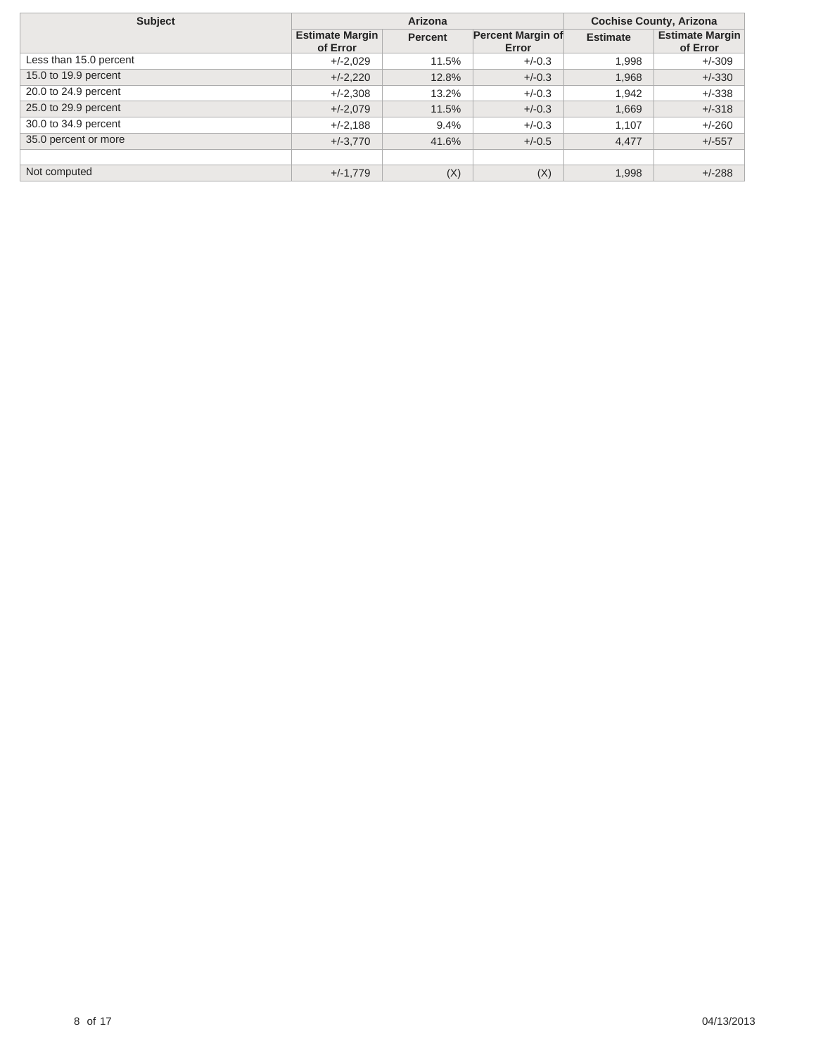| <b>Subject</b>         |                                    | Arizona        | <b>Cochise County, Arizona</b> |                 |                                    |
|------------------------|------------------------------------|----------------|--------------------------------|-----------------|------------------------------------|
|                        | <b>Estimate Margin</b><br>of Error | <b>Percent</b> | Percent Margin of<br>Error     | <b>Estimate</b> | <b>Estimate Margin</b><br>of Error |
| Less than 15.0 percent | $+/-2,029$                         | 11.5%          | $+/-0.3$                       | 1.998           | $+/-309$                           |
| 15.0 to 19.9 percent   | $+/-2,220$                         | 12.8%          | $+/-0.3$                       | 1,968           | $+/-330$                           |
| 20.0 to 24.9 percent   | $+/-2,308$                         | 13.2%          | $+/-0.3$                       | 1,942           | $+/-338$                           |
| 25.0 to 29.9 percent   | $+/-2,079$                         | 11.5%          | $+/-0.3$                       | 1,669           | $+/-318$                           |
| 30.0 to 34.9 percent   | $+/-2.188$                         | 9.4%           | $+/-0.3$                       | 1.107           | $+/-260$                           |
| 35.0 percent or more   | $+/-3.770$                         | 41.6%          | $+/-0.5$                       | 4,477           | $+/-557$                           |
|                        |                                    |                |                                |                 |                                    |
| Not computed           | $+/-1,779$                         | (X)            | (X)                            | 1,998           | $+/-288$                           |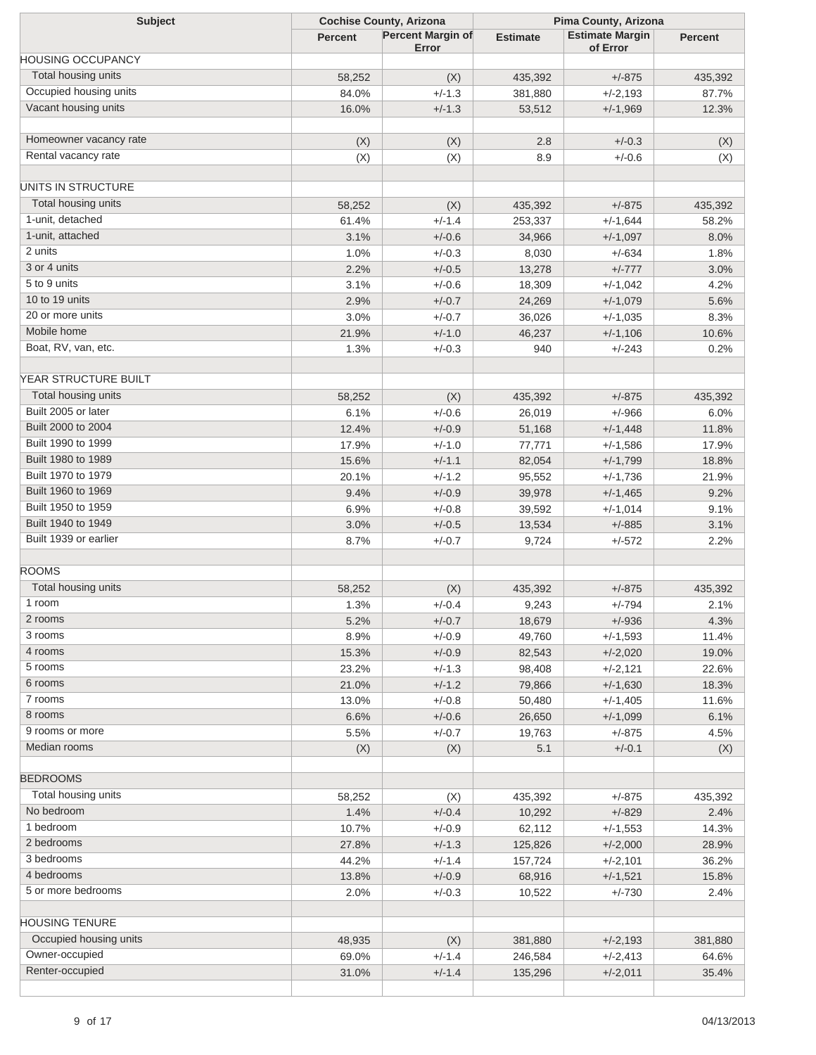| <b>Subject</b>             |                | <b>Cochise County, Arizona</b> |                 | Pima County, Arizona   |                |  |  |
|----------------------------|----------------|--------------------------------|-----------------|------------------------|----------------|--|--|
|                            | <b>Percent</b> | <b>Percent Margin of</b>       | <b>Estimate</b> | <b>Estimate Margin</b> | <b>Percent</b> |  |  |
| <b>HOUSING OCCUPANCY</b>   |                | Error                          |                 | of Error               |                |  |  |
| Total housing units        |                |                                |                 |                        |                |  |  |
| Occupied housing units     | 58,252         | (X)                            | 435,392         | $+/-875$               | 435,392        |  |  |
|                            | 84.0%          | $+/-1.3$                       | 381,880         | $+/-2,193$             | 87.7%          |  |  |
| Vacant housing units       | 16.0%          | $+/-1.3$                       | 53,512          | $+/-1,969$             | 12.3%          |  |  |
| Homeowner vacancy rate     | (X)            | (X)                            | 2.8             | $+/-0.3$               | (X)            |  |  |
| Rental vacancy rate        | (X)            | (X)                            | 8.9             | $+/-0.6$               | (X)            |  |  |
| UNITS IN STRUCTURE         |                |                                |                 |                        |                |  |  |
| <b>Total housing units</b> |                |                                |                 | $+/-875$               |                |  |  |
| 1-unit, detached           | 58,252         | (X)<br>$+/-1.4$                | 435,392         |                        | 435,392        |  |  |
| 1-unit, attached           | 61.4%          |                                | 253,337         | $+/-1,644$             | 58.2%          |  |  |
| 2 units                    | 3.1%           | $+/-0.6$                       | 34,966          | $+/-1,097$             | 8.0%           |  |  |
| 3 or 4 units               | 1.0%           | $+/-0.3$                       | 8,030           | $+/-634$               | 1.8%           |  |  |
| 5 to 9 units               | 2.2%           | $+/-0.5$                       | 13,278          | $+/-777$               | 3.0%           |  |  |
| 10 to 19 units             | 3.1%           | $+/-0.6$                       | 18,309          | $+/-1,042$             | 4.2%           |  |  |
|                            | 2.9%           | $+/-0.7$                       | 24,269          | $+/-1,079$             | 5.6%           |  |  |
| 20 or more units           | 3.0%           | $+/-0.7$                       | 36,026          | $+/-1,035$             | 8.3%           |  |  |
| Mobile home                | 21.9%          | $+/-1.0$                       | 46,237          | $+/-1,106$             | 10.6%          |  |  |
| Boat, RV, van, etc.        | 1.3%           | $+/-0.3$                       | 940             | $+/-243$               | 0.2%           |  |  |
| YEAR STRUCTURE BUILT       |                |                                |                 |                        |                |  |  |
| Total housing units        | 58,252         | (X)                            | 435,392         | $+/-875$               | 435,392        |  |  |
| Built 2005 or later        | 6.1%           | $+/-0.6$                       | 26,019          | $+/-966$               | 6.0%           |  |  |
| Built 2000 to 2004         | 12.4%          | $+/-0.9$                       | 51,168          | $+/-1,448$             | 11.8%          |  |  |
| Built 1990 to 1999         | 17.9%          | $+/-1.0$                       | 77,771          | $+/-1,586$             | 17.9%          |  |  |
| Built 1980 to 1989         | 15.6%          | $+/-1.1$                       | 82,054          | $+/-1,799$             | 18.8%          |  |  |
| Built 1970 to 1979         | 20.1%          | $+/-1.2$                       | 95,552          | $+/-1,736$             | 21.9%          |  |  |
| Built 1960 to 1969         | 9.4%           | $+/-0.9$                       | 39,978          | $+/-1,465$             | 9.2%           |  |  |
| Built 1950 to 1959         | 6.9%           | $+/-0.8$                       | 39,592          | $+/-1,014$             | 9.1%           |  |  |
| Built 1940 to 1949         | 3.0%           | $+/-0.5$                       | 13,534          | $+/-885$               | 3.1%           |  |  |
| Built 1939 or earlier      | 8.7%           | $+/-0.7$                       | 9,724           | $+/-572$               | 2.2%           |  |  |
|                            |                |                                |                 |                        |                |  |  |
| <b>ROOMS</b>               |                |                                |                 |                        |                |  |  |
| Total housing units        | 58,252         | (X)                            | 435,392         | $+/-875$               | 435,392        |  |  |
| 1 room                     | 1.3%           | $+/-0.4$                       | 9,243           | $+/-794$               | 2.1%           |  |  |
| 2 rooms                    | 5.2%           | $+/-0.7$                       | 18,679          | $+/-936$               | 4.3%           |  |  |
| 3 rooms                    | 8.9%           | $+/-0.9$                       | 49,760          | $+/-1,593$             | 11.4%          |  |  |
| 4 rooms                    | 15.3%          | $+/-0.9$                       | 82,543          | $+/-2,020$             | 19.0%          |  |  |
| 5 rooms                    | 23.2%          | $+/-1.3$                       | 98,408          | $+/-2,121$             | 22.6%          |  |  |
| 6 rooms                    | 21.0%          | $+/-1.2$                       | 79,866          | $+/-1,630$             | 18.3%          |  |  |
| 7 rooms                    | 13.0%          | $+/-0.8$                       | 50,480          | $+/-1,405$             | 11.6%          |  |  |
| 8 rooms                    | 6.6%           | $+/-0.6$                       | 26,650          | $+/-1,099$             | 6.1%           |  |  |
| 9 rooms or more            | 5.5%           | $+/-0.7$                       | 19,763          | $+/-875$               | 4.5%           |  |  |
| Median rooms               | (X)            | (X)                            | 5.1             | $+/-0.1$               | (X)            |  |  |
| <b>BEDROOMS</b>            |                |                                |                 |                        |                |  |  |
| Total housing units        | 58,252         | (X)                            | 435,392         | $+/-875$               | 435,392        |  |  |
| No bedroom                 | 1.4%           | $+/-0.4$                       | 10,292          | $+/-829$               | 2.4%           |  |  |
| 1 bedroom                  | 10.7%          | $+/-0.9$                       |                 | $+/-1,553$             | 14.3%          |  |  |
| 2 bedrooms                 |                |                                | 62,112          |                        |                |  |  |
| 3 bedrooms                 | 27.8%          | $+/-1.3$                       | 125,826         | $+/-2,000$             | 28.9%          |  |  |
| 4 bedrooms                 | 44.2%          | $+/-1.4$                       | 157,724         | $+/-2,101$             | 36.2%          |  |  |
|                            | 13.8%          | $+/-0.9$                       | 68,916          | $+/-1,521$             | 15.8%          |  |  |
| 5 or more bedrooms         | 2.0%           | $+/-0.3$                       | 10,522          | $+/-730$               | 2.4%           |  |  |
| <b>HOUSING TENURE</b>      |                |                                |                 |                        |                |  |  |
| Occupied housing units     | 48,935         | (X)                            | 381,880         | $+/-2,193$             | 381,880        |  |  |
| Owner-occupied             | 69.0%          | $+/-1.4$                       | 246,584         | $+/-2,413$             | 64.6%          |  |  |
| Renter-occupied            | 31.0%          | $+/-1.4$                       | 135,296         | $+/-2,011$             | 35.4%          |  |  |
|                            |                |                                |                 |                        |                |  |  |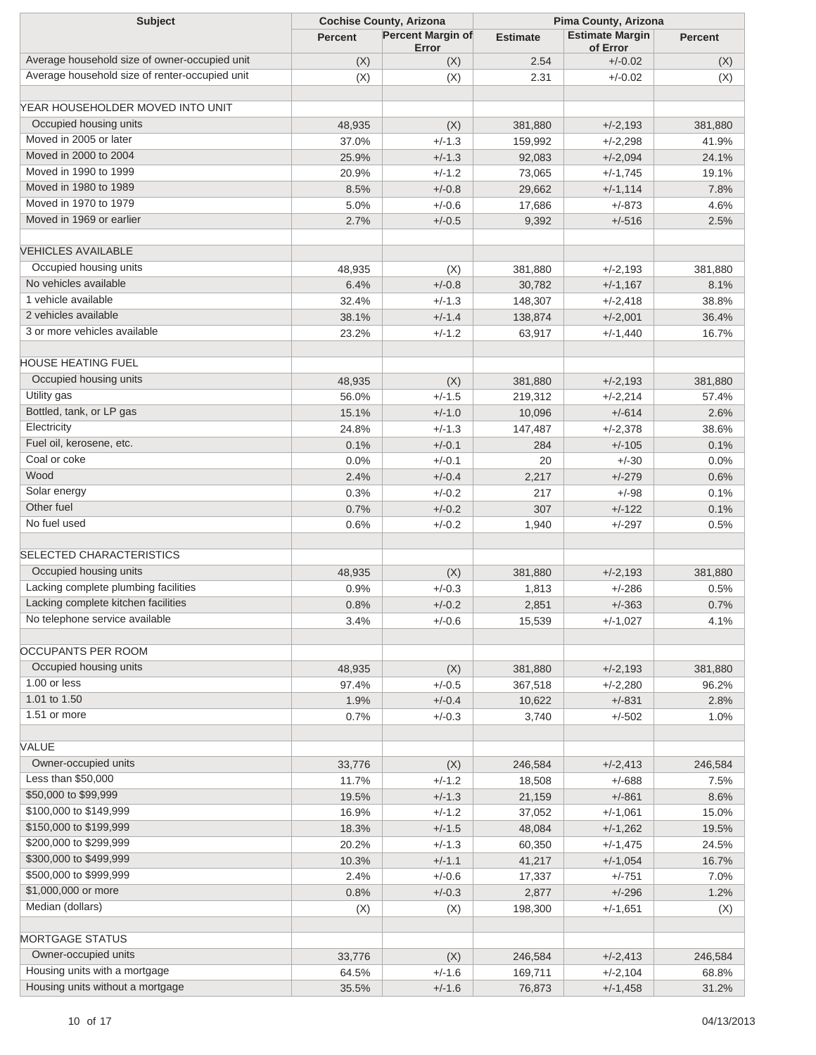| <b>Subject</b>                                 | <b>Cochise County, Arizona</b> |                   | Pima County, Arizona |                        |                |
|------------------------------------------------|--------------------------------|-------------------|----------------------|------------------------|----------------|
|                                                | <b>Percent</b>                 | Percent Margin of | <b>Estimate</b>      | <b>Estimate Margin</b> | <b>Percent</b> |
| Average household size of owner-occupied unit  |                                | Error             | 2.54                 | of Error<br>$+/-0.02$  |                |
| Average household size of renter-occupied unit | (X)                            | (X)               |                      | $+/-0.02$              | (X)            |
|                                                | (X)                            | (X)               | 2.31                 |                        | (X)            |
| YEAR HOUSEHOLDER MOVED INTO UNIT               |                                |                   |                      |                        |                |
| Occupied housing units                         | 48,935                         | (X)               | 381,880              | $+/-2,193$             | 381,880        |
| Moved in 2005 or later                         | 37.0%                          | $+/-1.3$          | 159,992              | $+/-2,298$             | 41.9%          |
| Moved in 2000 to 2004                          | 25.9%                          | $+/-1.3$          | 92,083               | $+/-2,094$             | 24.1%          |
| Moved in 1990 to 1999                          | 20.9%                          | $+/-1.2$          | 73,065               | $+/-1,745$             | 19.1%          |
| Moved in 1980 to 1989                          | 8.5%                           | $+/-0.8$          | 29,662               | $+/-1,114$             | 7.8%           |
| Moved in 1970 to 1979                          | 5.0%                           | $+/-0.6$          | 17,686               | $+/-873$               | 4.6%           |
| Moved in 1969 or earlier                       | 2.7%                           |                   |                      |                        |                |
|                                                |                                | $+/-0.5$          | 9,392                | $+/-516$               | 2.5%           |
| <b>VEHICLES AVAILABLE</b>                      |                                |                   |                      |                        |                |
| Occupied housing units                         | 48,935                         | (X)               | 381,880              | $+/-2,193$             | 381,880        |
| No vehicles available                          | 6.4%                           | $+/-0.8$          | 30,782               | $+/-1,167$             | 8.1%           |
| 1 vehicle available                            | 32.4%                          | $+/-1.3$          | 148,307              | $+/-2,418$             | 38.8%          |
| 2 vehicles available                           | 38.1%                          | $+/-1.4$          | 138,874              | $+/-2,001$             | 36.4%          |
| 3 or more vehicles available                   | 23.2%                          | $+/-1.2$          | 63,917               | $+/-1,440$             | 16.7%          |
|                                                |                                |                   |                      |                        |                |
| <b>HOUSE HEATING FUEL</b>                      |                                |                   |                      |                        |                |
| Occupied housing units                         | 48,935                         | (X)               | 381,880              | $+/-2,193$             | 381,880        |
| Utility gas                                    | 56.0%                          | $+/-1.5$          | 219,312              | $+/-2,214$             | 57.4%          |
| Bottled, tank, or LP gas                       | 15.1%                          | $+/-1.0$          | 10,096               | $+/-614$               | 2.6%           |
| Electricity                                    | 24.8%                          | $+/-1.3$          | 147,487              | $+/-2,378$             | 38.6%          |
| Fuel oil, kerosene, etc.                       | 0.1%                           | $+/-0.1$          | 284                  | $+/-105$               | 0.1%           |
| Coal or coke                                   | 0.0%                           | $+/-0.1$          | 20                   | $+/-30$                | 0.0%           |
| Wood                                           | 2.4%                           | $+/-0.4$          | 2,217                | $+/-279$               | 0.6%           |
| Solar energy                                   | 0.3%                           | $+/-0.2$          | 217                  | $+/-98$                | 0.1%           |
| Other fuel                                     | 0.7%                           | $+/-0.2$          | 307                  | $+/-122$               | 0.1%           |
| No fuel used                                   | 0.6%                           | $+/-0.2$          | 1,940                | $+/-297$               | 0.5%           |
|                                                |                                |                   |                      |                        |                |
| <b>SELECTED CHARACTERISTICS</b>                |                                |                   |                      |                        |                |
| Occupied housing units                         | 48,935                         | (X)               | 381,880              | $+/-2,193$             | 381,880        |
| Lacking complete plumbing facilities           | 0.9%                           | $+/-0.3$          | 1,813                | $+/-286$               | 0.5%           |
| Lacking complete kitchen facilities            | 0.8%                           | $+/-0.2$          | 2,851                | $+/-363$               | 0.7%           |
| No telephone service available                 | 3.4%                           | $+/-0.6$          | 15,539               | $+/-1,027$             | 4.1%           |
|                                                |                                |                   |                      |                        |                |
| OCCUPANTS PER ROOM                             |                                |                   |                      |                        |                |
| Occupied housing units                         | 48,935                         | (X)               | 381,880              | $+/-2,193$             | 381,880        |
| 1.00 or less                                   | 97.4%                          | $+/-0.5$          | 367,518              | $+/-2,280$             | 96.2%          |
| 1.01 to 1.50                                   | 1.9%                           | $+/-0.4$          | 10,622               | $+/-831$               | 2.8%           |
| 1.51 or more                                   | 0.7%                           | $+/-0.3$          | 3,740                | $+/-502$               | 1.0%           |
|                                                |                                |                   |                      |                        |                |
| <b>VALUE</b>                                   |                                |                   |                      |                        |                |
| Owner-occupied units                           | 33,776                         | (X)               | 246,584              | $+/-2,413$             | 246,584        |
| Less than \$50,000                             | 11.7%                          | $+/-1.2$          | 18,508               | $+/-688$               | 7.5%           |
| \$50,000 to \$99,999                           | 19.5%                          | $+/-1.3$          | 21,159               | $+/-861$               | 8.6%           |
| \$100,000 to \$149,999                         | 16.9%                          | $+/-1.2$          | 37,052               | $+/-1,061$             | 15.0%          |
| \$150,000 to \$199,999                         | 18.3%                          | $+/-1.5$          | 48,084               | $+/-1,262$             | 19.5%          |
| \$200,000 to \$299,999                         | 20.2%                          | $+/-1.3$          | 60,350               | $+/-1,475$             | 24.5%          |
| \$300,000 to \$499,999                         | 10.3%                          | $+/-1.1$          | 41,217               | $+/-1,054$             | 16.7%          |
| \$500,000 to \$999,999                         | 2.4%                           | $+/-0.6$          | 17,337               | $+/-751$               | 7.0%           |
| \$1,000,000 or more                            | 0.8%                           | $+/-0.3$          | 2,877                | $+/-296$               | 1.2%           |
| Median (dollars)                               | (X)                            | (X)               | 198,300              | $+/-1,651$             | (X)            |
|                                                |                                |                   |                      |                        |                |
| <b>MORTGAGE STATUS</b>                         |                                |                   |                      |                        |                |
| Owner-occupied units                           | 33,776                         | (X)               | 246,584              | $+/-2,413$             | 246,584        |
| Housing units with a mortgage                  | 64.5%                          | $+/-1.6$          | 169,711              | $+/-2,104$             | 68.8%          |
| Housing units without a mortgage               | 35.5%                          | $+/-1.6$          | 76,873               | $+/-1,458$             | 31.2%          |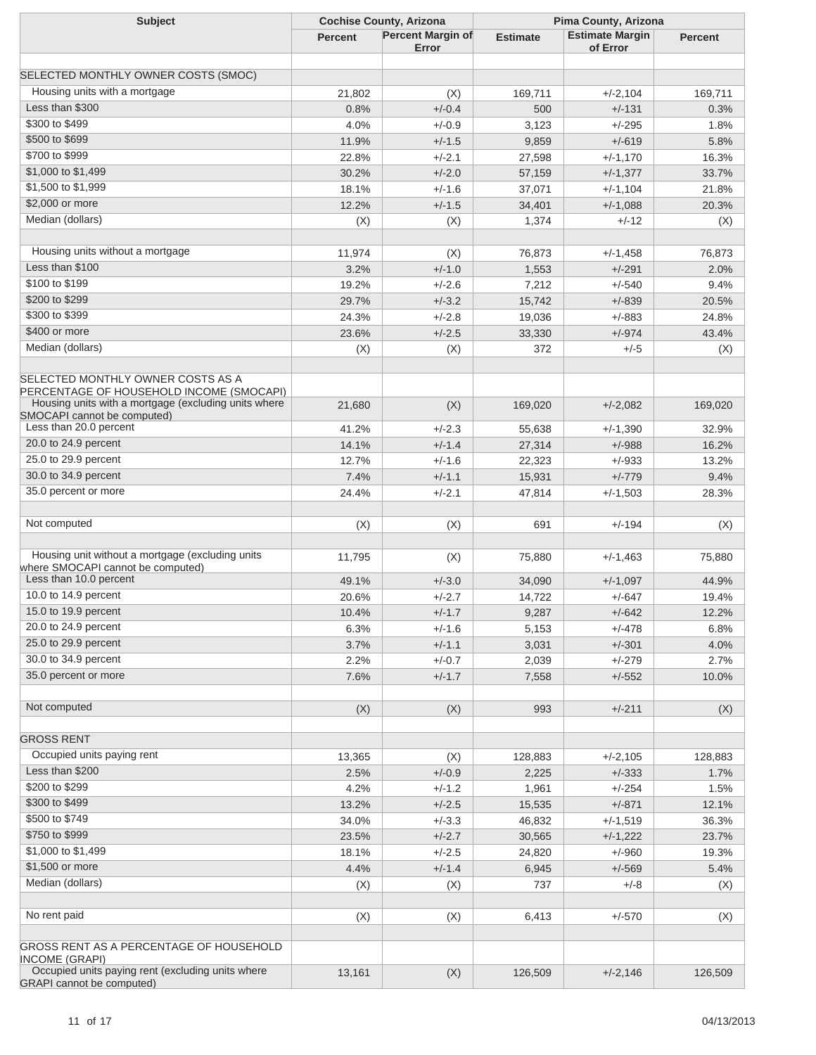| <b>Subject</b>                                                                                                                        | <b>Cochise County, Arizona</b> |                          | Pima County, Arizona |                        |                |
|---------------------------------------------------------------------------------------------------------------------------------------|--------------------------------|--------------------------|----------------------|------------------------|----------------|
|                                                                                                                                       | <b>Percent</b>                 | <b>Percent Margin of</b> | <b>Estimate</b>      | <b>Estimate Margin</b> | <b>Percent</b> |
|                                                                                                                                       |                                | Error                    |                      | of Error               |                |
| SELECTED MONTHLY OWNER COSTS (SMOC)                                                                                                   |                                |                          |                      |                        |                |
| Housing units with a mortgage                                                                                                         |                                |                          |                      |                        |                |
| Less than \$300                                                                                                                       | 21,802                         | (X)                      | 169,711              | $+/-2,104$             | 169,711        |
| \$300 to \$499                                                                                                                        | 0.8%                           | $+/-0.4$                 | 500                  | $+/-131$               | 0.3%           |
|                                                                                                                                       | 4.0%                           | $+/-0.9$                 | 3,123                | $+/-295$               | 1.8%           |
| \$500 to \$699                                                                                                                        | 11.9%                          | $+/-1.5$                 | 9,859                | $+/-619$               | 5.8%           |
| \$700 to \$999                                                                                                                        | 22.8%                          | $+/-2.1$                 | 27,598               | $+/-1,170$             | 16.3%          |
| \$1,000 to \$1,499                                                                                                                    | 30.2%                          | $+/-2.0$                 | 57,159               | $+/-1,377$             | 33.7%          |
| \$1,500 to \$1,999                                                                                                                    | 18.1%                          | $+/-1.6$                 | 37,071               | $+/-1,104$             | 21.8%          |
| \$2,000 or more                                                                                                                       | 12.2%                          | $+/-1.5$                 | 34,401               | $+/-1,088$             | 20.3%          |
| Median (dollars)                                                                                                                      | (X)                            | (X)                      | 1,374                | $+/-12$                | (X)            |
|                                                                                                                                       |                                |                          |                      |                        |                |
| Housing units without a mortgage                                                                                                      | 11,974                         | (X)                      | 76,873               | $+/-1,458$             | 76,873         |
| Less than \$100                                                                                                                       | 3.2%                           | $+/-1.0$                 | 1,553                | $+/-291$               | 2.0%           |
| \$100 to \$199                                                                                                                        | 19.2%                          | $+/-2.6$                 | 7,212                | $+/-540$               | 9.4%           |
| \$200 to \$299                                                                                                                        | 29.7%                          | $+/-3.2$                 | 15,742               | $+/-839$               | 20.5%          |
| \$300 to \$399                                                                                                                        | 24.3%                          | $+/-2.8$                 | 19,036               | $+/-883$               | 24.8%          |
| \$400 or more                                                                                                                         | 23.6%                          | $+/-2.5$                 | 33,330               | $+/-974$               | 43.4%          |
| Median (dollars)                                                                                                                      | (X)                            | (X)                      | 372                  | $+/-5$                 | (X)            |
| SELECTED MONTHLY OWNER COSTS AS A<br>PERCENTAGE OF HOUSEHOLD INCOME (SMOCAPI)<br>Housing units with a mortgage (excluding units where | 21,680                         | (X)                      | 169,020              | $+/-2,082$             | 169,020        |
| SMOCAPI cannot be computed)                                                                                                           |                                |                          |                      |                        |                |
| Less than 20.0 percent                                                                                                                | 41.2%                          | $+/-2.3$                 | 55,638               | $+/-1,390$             | 32.9%          |
| 20.0 to 24.9 percent                                                                                                                  | 14.1%                          | $+/-1.4$                 | 27,314               | $+/-988$               | 16.2%          |
| 25.0 to 29.9 percent                                                                                                                  | 12.7%                          | $+/-1.6$                 | 22,323               | $+/-933$               | 13.2%          |
| 30.0 to 34.9 percent                                                                                                                  | 7.4%                           | $+/-1.1$                 | 15,931               | $+/-779$               | 9.4%           |
| 35.0 percent or more                                                                                                                  | 24.4%                          | $+/-2.1$                 | 47,814               | $+/-1,503$             | 28.3%          |
|                                                                                                                                       |                                |                          |                      |                        |                |
| Not computed                                                                                                                          | (X)                            | (X)                      | 691                  | $+/-194$               | (X)            |
| Housing unit without a mortgage (excluding units                                                                                      | 11,795                         | (X)                      | 75,880               | $+/-1,463$             | 75,880         |
| where SMOCAPI cannot be computed)<br>Less than 10.0 percent                                                                           | 49.1%                          | $+/-3.0$                 | 34,090               | $+/-1,097$             | 44.9%          |
| 10.0 to 14.9 percent                                                                                                                  | 20.6%                          | $+/-2.7$                 | 14,722               | $+/-647$               | 19.4%          |
| 15.0 to 19.9 percent                                                                                                                  | 10.4%                          | $+/-1.7$                 | 9,287                | $+/-642$               | 12.2%          |
| 20.0 to 24.9 percent                                                                                                                  | 6.3%                           | $+/-1.6$                 | 5,153                | $+/-478$               | 6.8%           |
| 25.0 to 29.9 percent                                                                                                                  | 3.7%                           | $+/-1.1$                 | 3,031                | $+/-301$               | 4.0%           |
| 30.0 to 34.9 percent                                                                                                                  | 2.2%                           | $+/-0.7$                 | 2,039                | $+/-279$               | 2.7%           |
| 35.0 percent or more                                                                                                                  | 7.6%                           | $+/-1.7$                 | 7,558                | $+/-552$               | 10.0%          |
|                                                                                                                                       |                                |                          |                      |                        |                |
| Not computed                                                                                                                          | (X)                            | (X)                      | 993                  | $+/-211$               | (X)            |
|                                                                                                                                       |                                |                          |                      |                        |                |
| <b>GROSS RENT</b>                                                                                                                     |                                |                          |                      |                        |                |
| Occupied units paying rent                                                                                                            | 13,365                         | (X)                      | 128,883              | $+/-2,105$             | 128,883        |
| Less than \$200                                                                                                                       | 2.5%                           | $+/-0.9$                 | 2,225                | $+/-333$               | 1.7%           |
| \$200 to \$299                                                                                                                        | 4.2%                           | $+/-1.2$                 | 1,961                | $+/-254$               | 1.5%           |
| \$300 to \$499                                                                                                                        | 13.2%                          | $+/-2.5$                 | 15,535               | $+/-871$               | 12.1%          |
| \$500 to \$749                                                                                                                        | 34.0%                          | $+/-3.3$                 | 46,832               | $+/-1,519$             | 36.3%          |
| \$750 to \$999                                                                                                                        | 23.5%                          | $+/-2.7$                 | 30,565               | $+/-1,222$             | 23.7%          |
| \$1,000 to \$1,499                                                                                                                    | 18.1%                          | $+/-2.5$                 | 24,820               |                        | 19.3%          |
| \$1,500 or more                                                                                                                       |                                |                          |                      | $+/-960$               |                |
| Median (dollars)                                                                                                                      | 4.4%                           | $+/-1.4$                 | 6,945                | $+/-569$               | 5.4%           |
|                                                                                                                                       | (X)                            | (X)                      | 737                  | $+/-8$                 | (X)            |
| No rent paid                                                                                                                          | (X)                            | (X)                      | 6,413                | $+/-570$               | (X)            |
| GROSS RENT AS A PERCENTAGE OF HOUSEHOLD<br><b>INCOME (GRAPI)</b>                                                                      |                                |                          |                      |                        |                |
| Occupied units paying rent (excluding units where<br><b>GRAPI</b> cannot be computed)                                                 | 13,161                         | (X)                      | 126,509              | $+/-2,146$             | 126,509        |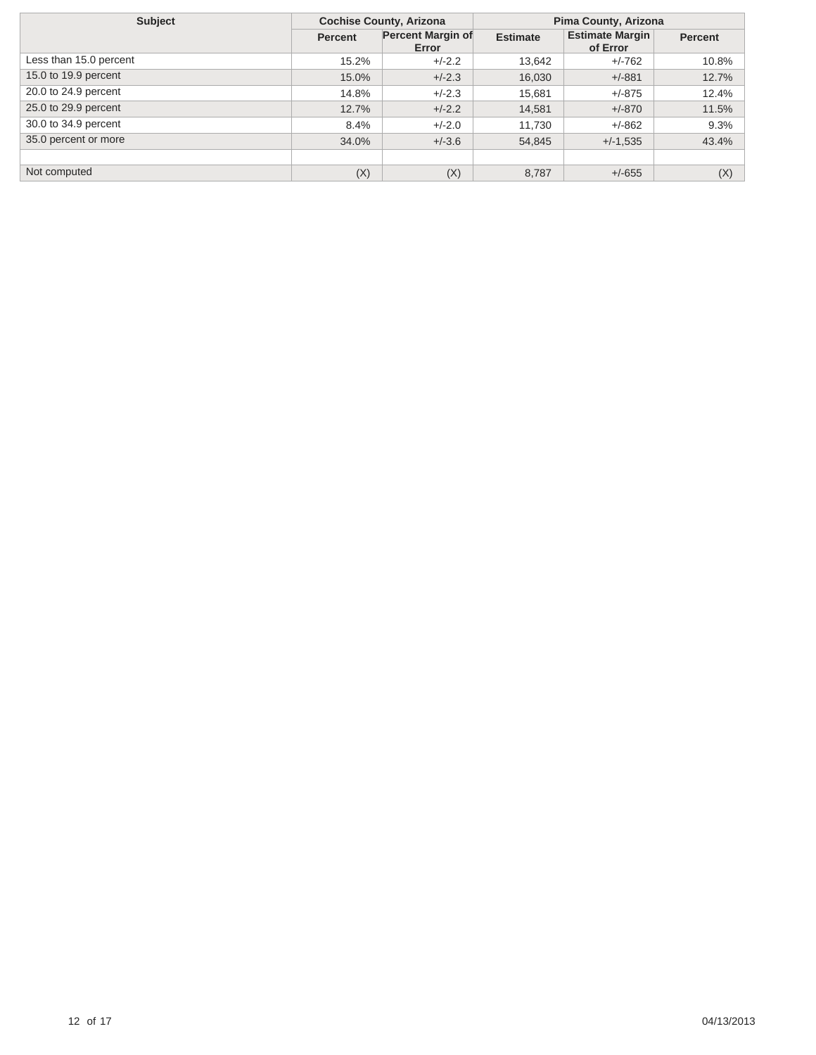| <b>Subject</b>         | <b>Cochise County, Arizona</b> |                                   | Pima County, Arizona |                                    |                |  |
|------------------------|--------------------------------|-----------------------------------|----------------------|------------------------------------|----------------|--|
|                        | <b>Percent</b>                 | <b>Percent Margin of</b><br>Error | <b>Estimate</b>      | <b>Estimate Margin</b><br>of Error | <b>Percent</b> |  |
| Less than 15.0 percent | 15.2%                          | $+/-2.2$                          | 13,642               | $+/-762$                           | 10.8%          |  |
| 15.0 to 19.9 percent   | 15.0%                          | $+/-2.3$                          | 16,030               | $+/-881$                           | 12.7%          |  |
| 20.0 to 24.9 percent   | 14.8%                          | $+/-2.3$                          | 15,681               | $+/-875$                           | 12.4%          |  |
| 25.0 to 29.9 percent   | 12.7%                          | $+/-2.2$                          | 14,581               | $+/-870$                           | 11.5%          |  |
| 30.0 to 34.9 percent   | 8.4%                           | $+/-2.0$                          | 11,730               | $+/-862$                           | 9.3%           |  |
| 35.0 percent or more   | 34.0%                          | $+/-3.6$                          | 54,845               | $+/-1,535$                         | 43.4%          |  |
|                        |                                |                                   |                      |                                    |                |  |
| Not computed           | (X)                            | (X)                               | 8,787                | $+/-655$                           | (X)            |  |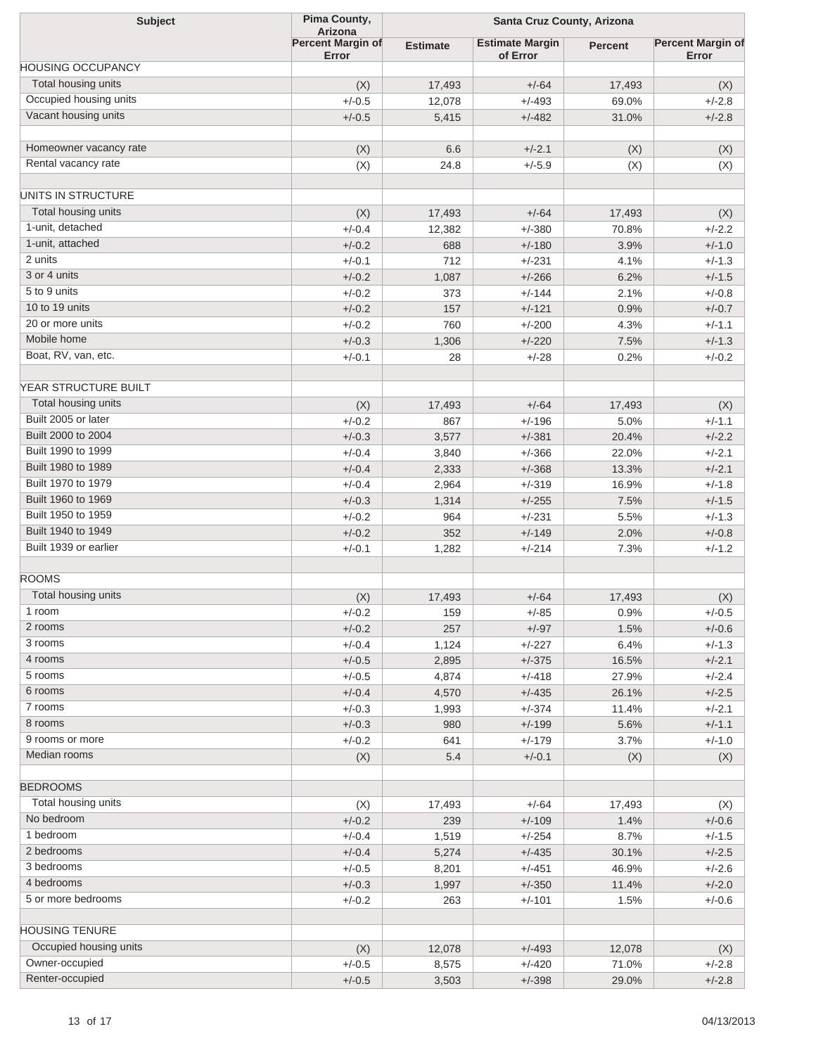| <b>Subject</b>           | Pima County,                        | Santa Cruz County, Arizona |                        |                |                          |
|--------------------------|-------------------------------------|----------------------------|------------------------|----------------|--------------------------|
|                          | Arizona<br><b>Percent Margin of</b> | <b>Estimate</b>            | <b>Estimate Margin</b> | <b>Percent</b> | <b>Percent Margin of</b> |
| <b>HOUSING OCCUPANCY</b> | Error                               |                            | of Error               |                | Error                    |
| Total housing units      | (X)                                 | 17,493                     | $+/-64$                | 17,493         | (X)                      |
| Occupied housing units   | $+/-0.5$                            | 12,078                     | $+/-493$               | 69.0%          | $+/-2.8$                 |
| Vacant housing units     | $+/-0.5$                            | 5,415                      | $+/-482$               | 31.0%          | $+/-2.8$                 |
|                          |                                     |                            |                        |                |                          |
| Homeowner vacancy rate   | (X)                                 | 6.6                        | $+/-2.1$               | (X)            | (X)                      |
| Rental vacancy rate      | (X)                                 | 24.8                       | $+/-5.9$               | (X)            | (X)                      |
|                          |                                     |                            |                        |                |                          |
| UNITS IN STRUCTURE       |                                     |                            |                        |                |                          |
| Total housing units      | (X)                                 | 17,493                     | $+/-64$                | 17,493         | (X)                      |
| 1-unit, detached         | $+/-0.4$                            | 12,382                     | $+/-380$               | 70.8%          | $+/-2.2$                 |
| 1-unit, attached         | $+/-0.2$                            | 688                        | $+/-180$               | 3.9%           | $+/-1.0$                 |
| 2 units                  | $+/-0.1$                            | 712                        | $+/-231$               | 4.1%           | $+/-1.3$                 |
| 3 or 4 units             | $+/-0.2$                            | 1,087                      | $+/-266$               | 6.2%           | $+/-1.5$                 |
| 5 to 9 units             | $+/-0.2$                            | 373                        | $+/-144$               | 2.1%           | $+/-0.8$                 |
| 10 to 19 units           | $+/-0.2$                            | 157                        | $+/-121$               | 0.9%           | $+/-0.7$                 |
| 20 or more units         | $+/-0.2$                            | 760                        | $+/-200$               | 4.3%           | $+/-1.1$                 |
| Mobile home              | $+/-0.3$                            | 1,306                      | $+/-220$               | 7.5%           | $+/-1.3$                 |
| Boat, RV, van, etc.      | $+/-0.1$                            | 28                         | $+/-28$                | 0.2%           | $+/-0.2$                 |
| YEAR STRUCTURE BUILT     |                                     |                            |                        |                |                          |
| Total housing units      |                                     |                            |                        |                |                          |
| Built 2005 or later      | (X)                                 | 17,493                     | $+/-64$                | 17,493         | (X)                      |
|                          | $+/-0.2$                            | 867                        | $+/-196$               | 5.0%           | $+/-1.1$                 |
| Built 2000 to 2004       | $+/-0.3$                            | 3,577                      | $+/-381$               | 20.4%          | $+/-2.2$                 |
| Built 1990 to 1999       | $+/-0.4$                            | 3,840                      | $+/-366$               | 22.0%          | $+/-2.1$                 |
| Built 1980 to 1989       | $+/-0.4$                            | 2,333                      | $+/-368$               | 13.3%          | $+/-2.1$                 |
| Built 1970 to 1979       | $+/-0.4$                            | 2,964                      | $+/-319$               | 16.9%          | $+/-1.8$                 |
| Built 1960 to 1969       | $+/-0.3$                            | 1,314                      | $+/-255$               | 7.5%           | $+/-1.5$                 |
| Built 1950 to 1959       | $+/-0.2$                            | 964                        | $+/-231$               | 5.5%           | $+/-1.3$                 |
| Built 1940 to 1949       | $+/-0.2$                            | 352                        | $+/-149$               | 2.0%           | $+/-0.8$                 |
| Built 1939 or earlier    | $+/-0.1$                            | 1,282                      | $+/-214$               | 7.3%           | $+/-1.2$                 |
| <b>ROOMS</b>             |                                     |                            |                        |                |                          |
| Total housing units      |                                     | 17,493                     | $+/-64$                |                |                          |
| 1 room                   | (X)                                 |                            |                        | 17,493         | (X)                      |
| 2 rooms                  | +/-0.2                              | 159                        | $+/-85$                | $0.9\%$        | $+/-0.5$                 |
| 3 rooms                  | $+/-0.2$                            | 257                        | $+/-97$                | 1.5%           | $+/-0.6$                 |
| 4 rooms                  | $+/-0.4$                            | 1,124                      | $+/-227$               | 6.4%           | $+/-1.3$                 |
|                          | $+/-0.5$                            | 2,895                      | $+/-375$               | 16.5%          | $+/-2.1$                 |
| 5 rooms                  | $+/-0.5$                            | 4,874                      | $+/-418$               | 27.9%          | $+/-2.4$                 |
| 6 rooms                  | $+/-0.4$                            | 4,570                      | $+/-435$               | 26.1%          | $+/-2.5$                 |
| 7 rooms                  | $+/-0.3$                            | 1,993                      | $+/-374$               | 11.4%          | $+/-2.1$                 |
| 8 rooms                  | $+/-0.3$                            | 980                        | $+/-199$               | 5.6%           | $+/-1.1$                 |
| 9 rooms or more          | $+/-0.2$                            | 641                        | $+/-179$               | 3.7%           | $+/-1.0$                 |
| Median rooms             | (X)                                 | 5.4                        | $+/-0.1$               | (X)            | (X)                      |
| <b>BEDROOMS</b>          |                                     |                            |                        |                |                          |
| Total housing units      | (X)                                 | 17,493                     | $+/-64$                | 17,493         | (X)                      |
| No bedroom               | $+/-0.2$                            | 239                        | $+/-109$               | 1.4%           | $+/-0.6$                 |
| 1 bedroom                | $+/-0.4$                            |                            | $+/-254$               | 8.7%           | $+/-1.5$                 |
| 2 bedrooms               |                                     | 1,519                      |                        |                |                          |
| 3 bedrooms               | $+/-0.4$                            | 5,274                      | $+/-435$               | 30.1%          | $+/-2.5$                 |
| 4 bedrooms               | $+/-0.5$                            | 8,201                      | $+/-451$               | 46.9%          | $+/-2.6$                 |
|                          | $+/-0.3$                            | 1,997                      | $+/-350$               | 11.4%          | $+/-2.0$                 |
| 5 or more bedrooms       | $+/-0.2$                            | 263                        | $+/-101$               | 1.5%           | $+/-0.6$                 |
| <b>HOUSING TENURE</b>    |                                     |                            |                        |                |                          |
| Occupied housing units   | (X)                                 | 12,078                     | $+/-493$               | 12,078         | (X)                      |
| Owner-occupied           | $+/-0.5$                            | 8,575                      | $+/-420$               | 71.0%          | $+/-2.8$                 |
| Renter-occupied          | $+/-0.5$                            | 3,503                      | $+/-398$               | 29.0%          | $+/-2.8$                 |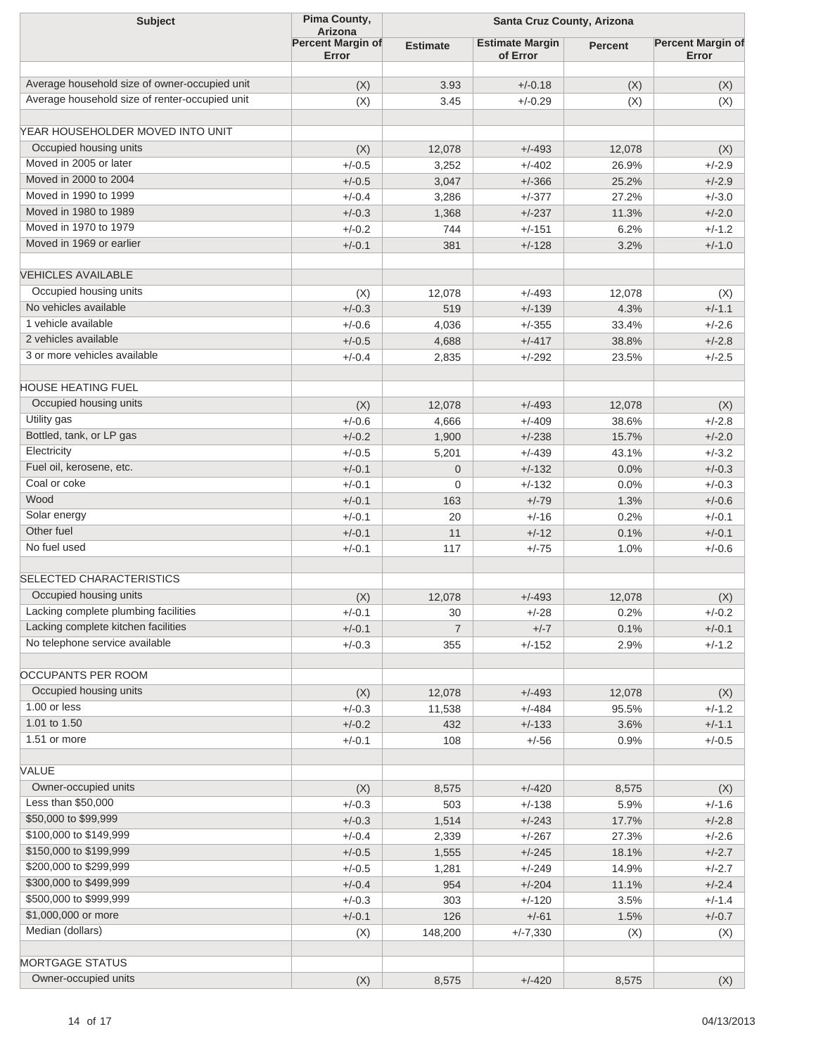| <b>Subject</b>                                                                                  | Pima County,<br>Arizona           | Santa Cruz County, Arizona |                                    |                |                                   |
|-------------------------------------------------------------------------------------------------|-----------------------------------|----------------------------|------------------------------------|----------------|-----------------------------------|
|                                                                                                 | <b>Percent Margin of</b><br>Error | <b>Estimate</b>            | <b>Estimate Margin</b><br>of Error | <b>Percent</b> | <b>Percent Margin of</b><br>Error |
|                                                                                                 |                                   |                            |                                    |                |                                   |
| Average household size of owner-occupied unit<br>Average household size of renter-occupied unit | (X)                               | 3.93                       | $+/-0.18$                          | (X)            | (X)                               |
|                                                                                                 | (X)                               | 3.45                       | $+/-0.29$                          | (X)            | (X)                               |
| YEAR HOUSEHOLDER MOVED INTO UNIT                                                                |                                   |                            |                                    |                |                                   |
| Occupied housing units                                                                          | (X)                               | 12.078                     | $+/-493$                           | 12,078         | (X)                               |
| Moved in 2005 or later                                                                          | $+/-0.5$                          | 3,252                      | $+/-402$                           | 26.9%          | $+/-2.9$                          |
| Moved in 2000 to 2004                                                                           | $+/-0.5$                          | 3,047                      | $+/-366$                           | 25.2%          | $+/-2.9$                          |
| Moved in 1990 to 1999                                                                           | $+/-0.4$                          | 3,286                      | $+/-377$                           | 27.2%          | $+/-3.0$                          |
| Moved in 1980 to 1989                                                                           | $+/-0.3$                          | 1,368                      | $+/-237$                           | 11.3%          | $+/-2.0$                          |
| Moved in 1970 to 1979                                                                           | $+/-0.2$                          | 744                        | $+/-151$                           | 6.2%           | $+/-1.2$                          |
| Moved in 1969 or earlier                                                                        | $+/-0.1$                          | 381                        | $+/-128$                           | 3.2%           | $+/-1.0$                          |
|                                                                                                 |                                   |                            |                                    |                |                                   |
| <b>VEHICLES AVAILABLE</b>                                                                       |                                   |                            |                                    |                |                                   |
| Occupied housing units                                                                          | (X)                               | 12,078                     | $+/-493$                           | 12,078         | (X)                               |
| No vehicles available                                                                           | $+/-0.3$                          | 519                        | $+/-139$                           | 4.3%           | $+/-1.1$                          |
| 1 vehicle available                                                                             | $+/-0.6$                          | 4,036                      | $+/-355$                           | 33.4%          | $+/-2.6$                          |
| 2 vehicles available                                                                            | $+/-0.5$                          | 4,688                      | $+/-417$                           | 38.8%          | $+/-2.8$                          |
| 3 or more vehicles available                                                                    | $+/-0.4$                          | 2,835                      | $+/-292$                           | 23.5%          | $+/-2.5$                          |
| HOUSE HEATING FUEL                                                                              |                                   |                            |                                    |                |                                   |
| Occupied housing units                                                                          |                                   |                            |                                    |                |                                   |
| Utility gas                                                                                     | (X)<br>$+/-0.6$                   | 12,078                     | $+/-493$                           | 12,078         | (X)<br>$+/-2.8$                   |
| Bottled, tank, or LP gas                                                                        | $+/-0.2$                          | 4,666<br>1,900             | $+/-409$<br>$+/-238$               | 38.6%<br>15.7% | $+/-2.0$                          |
| Electricity                                                                                     | $+/-0.5$                          | 5,201                      | $+/-439$                           | 43.1%          | $+/-3.2$                          |
| Fuel oil, kerosene, etc.                                                                        | $+/-0.1$                          | $\mathbf 0$                | $+/-132$                           | 0.0%           | $+/-0.3$                          |
| Coal or coke                                                                                    | $+/-0.1$                          | 0                          | $+/-132$                           | 0.0%           | $+/-0.3$                          |
| Wood                                                                                            | $+/-0.1$                          | 163                        | $+/-79$                            | 1.3%           | $+/-0.6$                          |
| Solar energy                                                                                    | $+/-0.1$                          | 20                         | $+/-16$                            | 0.2%           | $+/-0.1$                          |
| Other fuel                                                                                      | $+/-0.1$                          | 11                         | $+/-12$                            | 0.1%           | $+/-0.1$                          |
| No fuel used                                                                                    | $+/-0.1$                          | 117                        | $+/-75$                            | 1.0%           | $+/-0.6$                          |
|                                                                                                 |                                   |                            |                                    |                |                                   |
| <b>SELECTED CHARACTERISTICS</b>                                                                 |                                   |                            |                                    |                |                                   |
| Occupied housing units                                                                          | (X)                               | 12,078                     | $+/-493$                           | 12,078         | (X)                               |
| Lacking complete plumbing facilities                                                            | $+/-0.1$                          | 30                         | $+/-28$                            | 0.2%           | $+/-0.2$                          |
| Lacking complete kitchen facilities                                                             | $+/-0.1$                          | $\overline{7}$             | $+/-7$                             | 0.1%           | $+/-0.1$                          |
| No telephone service available                                                                  | $+/-0.3$                          | 355                        | $+/-152$                           | 2.9%           | $+/-1.2$                          |
|                                                                                                 |                                   |                            |                                    |                |                                   |
| OCCUPANTS PER ROOM                                                                              |                                   |                            |                                    |                |                                   |
| Occupied housing units                                                                          | (X)                               | 12,078                     | $+/-493$                           | 12,078         | (X)                               |
| 1.00 or less                                                                                    | $+/-0.3$                          | 11,538                     | $+/-484$                           | 95.5%          | $+/-1.2$                          |
| 1.01 to 1.50                                                                                    | $+/-0.2$                          | 432                        | $+/-133$                           | 3.6%           | $+/-1.1$                          |
| 1.51 or more                                                                                    | $+/-0.1$                          | 108                        | $+/-56$                            | 0.9%           | $+/-0.5$                          |
| VALUE                                                                                           |                                   |                            |                                    |                |                                   |
| Owner-occupied units                                                                            | (X)                               | 8,575                      | $+/-420$                           | 8,575          |                                   |
| Less than \$50,000                                                                              | $+/-0.3$                          | 503                        | $+/-138$                           | 5.9%           | (X)<br>$+/-1.6$                   |
| \$50,000 to \$99,999                                                                            | $+/-0.3$                          | 1,514                      | $+/-243$                           | 17.7%          | $+/-2.8$                          |
| \$100,000 to \$149,999                                                                          | $+/-0.4$                          | 2,339                      | $+/-267$                           | 27.3%          | $+/-2.6$                          |
| \$150,000 to \$199,999                                                                          | $+/-0.5$                          | 1,555                      | $+/-245$                           | 18.1%          | $+/-2.7$                          |
| \$200,000 to \$299,999                                                                          | $+/-0.5$                          | 1,281                      | $+/-249$                           | 14.9%          | $+/-2.7$                          |
| \$300,000 to \$499,999                                                                          | $+/-0.4$                          | 954                        | $+/-204$                           | 11.1%          | $+/-2.4$                          |
| \$500,000 to \$999,999                                                                          | $+/-0.3$                          | 303                        | $+/-120$                           | 3.5%           | $+/-1.4$                          |
| \$1,000,000 or more                                                                             | $+/-0.1$                          | 126                        | $+/-61$                            | 1.5%           | $+/-0.7$                          |
| Median (dollars)                                                                                | (X)                               | 148,200                    | $+/-7,330$                         | (X)            | (X)                               |
|                                                                                                 |                                   |                            |                                    |                |                                   |
| <b>MORTGAGE STATUS</b>                                                                          |                                   |                            |                                    |                |                                   |
| Owner-occupied units                                                                            | (X)                               | 8,575                      | $+/-420$                           | 8,575          | (X)                               |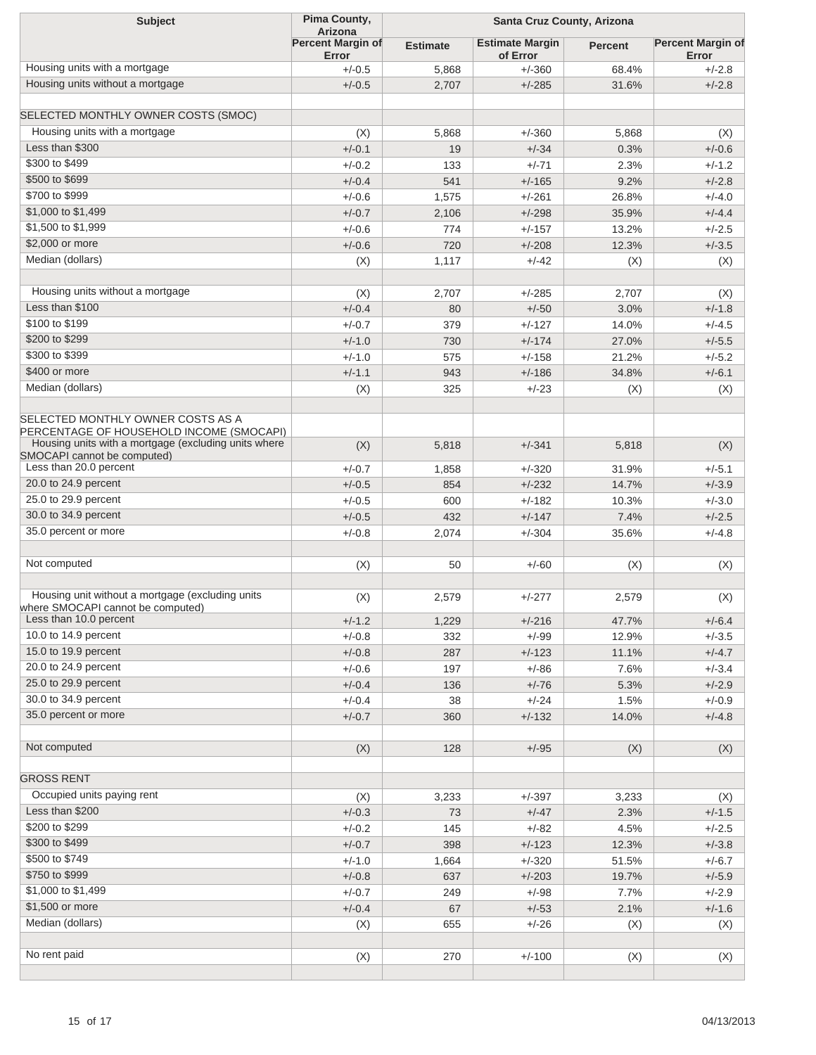| <b>Subject</b>                                                                        | Pima County,<br><b>Arizona</b> | Santa Cruz County, Arizona |                                    |                |                                   |
|---------------------------------------------------------------------------------------|--------------------------------|----------------------------|------------------------------------|----------------|-----------------------------------|
|                                                                                       | Percent Margin of<br>Error     | <b>Estimate</b>            | <b>Estimate Margin</b><br>of Error | <b>Percent</b> | <b>Percent Margin of</b><br>Error |
| Housing units with a mortgage                                                         | $+/-0.5$                       | 5,868                      | $+/-360$                           | 68.4%          | $+/-2.8$                          |
| Housing units without a mortgage                                                      | $+/-0.5$                       | 2,707                      | $+/-285$                           | 31.6%          | $+/-2.8$                          |
| SELECTED MONTHLY OWNER COSTS (SMOC)                                                   |                                |                            |                                    |                |                                   |
| Housing units with a mortgage                                                         | (X)                            | 5,868                      | $+/-360$                           | 5,868          | (X)                               |
| Less than \$300                                                                       | $+/-0.1$                       | 19                         | $+/-34$                            | 0.3%           | $+/-0.6$                          |
| \$300 to \$499                                                                        | $+/-0.2$                       | 133                        | $+/-71$                            | 2.3%           | $+/-1.2$                          |
| \$500 to \$699                                                                        | $+/-0.4$                       | 541                        | $+/-165$                           | 9.2%           | $+/-2.8$                          |
| \$700 to \$999                                                                        | $+/-0.6$                       | 1,575                      | $+/-261$                           | 26.8%          | $+/-4.0$                          |
| \$1,000 to \$1,499                                                                    | $+/-0.7$                       | 2,106                      | $+/-298$                           | 35.9%          | $+/-4.4$                          |
| \$1,500 to \$1,999                                                                    | $+/-0.6$                       | 774                        | $+/-157$                           | 13.2%          | $+/-2.5$                          |
| \$2,000 or more                                                                       | $+/-0.6$                       | 720                        | $+/-208$                           | 12.3%          | $+/-3.5$                          |
| Median (dollars)                                                                      |                                |                            | $+/-42$                            |                |                                   |
|                                                                                       | (X)                            | 1,117                      |                                    | (X)            | (X)                               |
| Housing units without a mortgage                                                      | (X)                            | 2,707                      | $+/-285$                           | 2,707          | (X)                               |
| Less than \$100                                                                       | $+/-0.4$                       | 80                         | $+/-50$                            | 3.0%           | $+/-1.8$                          |
| \$100 to \$199                                                                        | $+/-0.7$                       | 379                        | $+/-127$                           | 14.0%          | $+/-4.5$                          |
| \$200 to \$299                                                                        | $+/-1.0$                       | 730                        | $+/-174$                           | 27.0%          | $+/-5.5$                          |
| \$300 to \$399                                                                        | $+/-1.0$                       | 575                        | $+/-158$                           | 21.2%          | $+/-5.2$                          |
| \$400 or more                                                                         | $+/-1.1$                       | 943                        | $+/-186$                           | 34.8%          | $+/-6.1$                          |
| Median (dollars)                                                                      | (X)                            | 325                        | $+/-23$                            | (X)            | (X)                               |
| SELECTED MONTHLY OWNER COSTS AS A<br>PERCENTAGE OF HOUSEHOLD INCOME (SMOCAPI)         |                                |                            |                                    |                |                                   |
| Housing units with a mortgage (excluding units where<br>SMOCAPI cannot be computed)   | (X)                            | 5,818                      | $+/-341$                           | 5,818          | (X)                               |
| Less than 20.0 percent                                                                | $+/-0.7$                       | 1,858                      | $+/-320$                           | 31.9%          | $+/-5.1$                          |
| 20.0 to 24.9 percent                                                                  | $+/-0.5$                       | 854                        | $+/-232$                           | 14.7%          | $+/-3.9$                          |
| 25.0 to 29.9 percent                                                                  | $+/-0.5$                       | 600                        | $+/-182$                           | 10.3%          | $+/-3.0$                          |
| 30.0 to 34.9 percent                                                                  | $+/-0.5$                       | 432                        | $+/-147$                           | 7.4%           | $+/-2.5$                          |
| 35.0 percent or more                                                                  | $+/-0.8$                       | 2,074                      | $+/-304$                           | 35.6%          | $+/-4.8$                          |
| Not computed                                                                          | (X)                            | 50                         | $+/-60$                            | (X)            | (X)                               |
|                                                                                       |                                |                            |                                    |                |                                   |
| Housing unit without a mortgage (excluding units<br>where SMOCAPI cannot be computed) | (X)                            | 2,579                      | $+/-277$                           | 2,579          | (X)                               |
| Less than 10.0 percent                                                                | $+/-1.2$                       | 1,229                      | $+/-216$                           | 47.7%          | $+/-6.4$                          |
| 10.0 to 14.9 percent                                                                  | $+/-0.8$                       | 332                        | $+/-99$                            | 12.9%          | $+/-3.5$                          |
| 15.0 to 19.9 percent                                                                  | $+/-0.8$                       | 287                        | $+/-123$                           | 11.1%          | $+/-4.7$                          |
| 20.0 to 24.9 percent                                                                  | $+/-0.6$                       | 197                        | $+/-86$                            | 7.6%           | $+/-3.4$                          |
| 25.0 to 29.9 percent                                                                  | $+/-0.4$                       | 136                        | $+/-76$                            | 5.3%           | $+/-2.9$                          |
| 30.0 to 34.9 percent                                                                  | $+/-0.4$                       | 38                         | $+/-24$                            | 1.5%           | $+/-0.9$                          |
| 35.0 percent or more                                                                  | $+/-0.7$                       | 360                        | $+/-132$                           | 14.0%          | $+/-4.8$                          |
| Not computed                                                                          | (X)                            | 128                        | $+/-95$                            | (X)            | (X)                               |
| <b>GROSS RENT</b>                                                                     |                                |                            |                                    |                |                                   |
| Occupied units paying rent                                                            | (X)                            | 3,233                      | $+/-397$                           | 3,233          | (X)                               |
| Less than \$200                                                                       | $+/-0.3$                       | 73                         | $+/-47$                            | 2.3%           | $+/-1.5$                          |
| \$200 to \$299                                                                        | $+/-0.2$                       | 145                        | $+/-82$                            | 4.5%           | $+/-2.5$                          |
| \$300 to \$499                                                                        | $+/-0.7$                       | 398                        | $+/-123$                           | 12.3%          | $+/-3.8$                          |
| \$500 to \$749                                                                        | $+/-1.0$                       | 1,664                      | $+/-320$                           | 51.5%          | $+/-6.7$                          |
| \$750 to \$999                                                                        | $+/-0.8$                       | 637                        | $+/-203$                           | 19.7%          | $+/-5.9$                          |
| \$1,000 to \$1,499                                                                    | $+/-0.7$                       | 249                        | $+/-98$                            |                | $+/-2.9$                          |
| \$1,500 or more                                                                       |                                |                            | $+/-53$                            | 7.7%           |                                   |
| Median (dollars)                                                                      | $+/-0.4$                       | 67                         |                                    | 2.1%           | $+/-1.6$                          |
|                                                                                       | (X)                            | 655                        | $+/-26$                            | (X)            | (X)                               |
| No rent paid                                                                          | (X)                            | 270                        | $+/-100$                           | (X)            | (X)                               |
|                                                                                       |                                |                            |                                    |                |                                   |